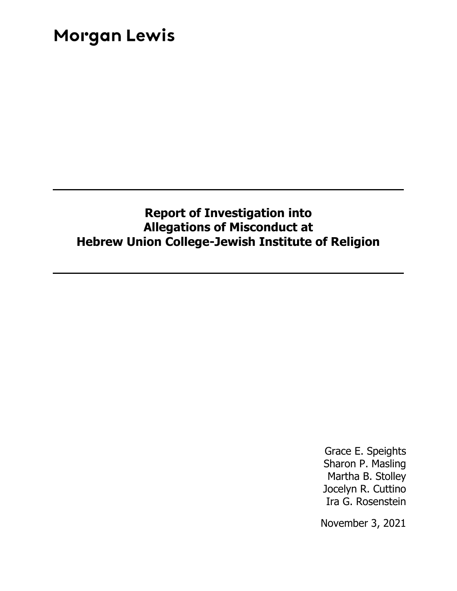### **Report of Investigation into Allegations of Misconduct at Hebrew Union College-Jewish Institute of Religion**

Grace E. Speights Sharon P. Masling Martha B. Stolley Jocelyn R. Cuttino Ira G. Rosenstein

November 3, 2021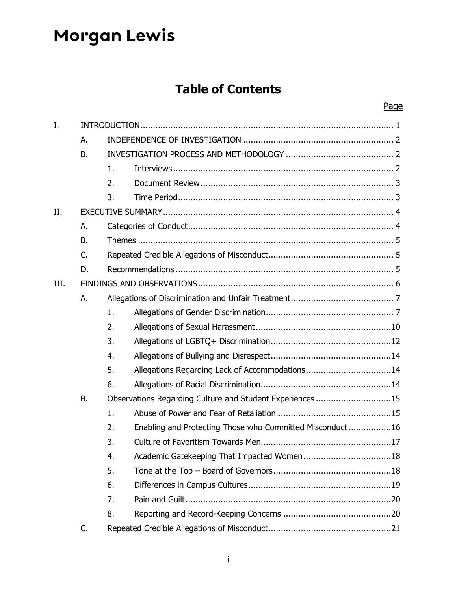### **Table of Contents**

| I.   |           |                                                           |                                                          |  |  |  |
|------|-----------|-----------------------------------------------------------|----------------------------------------------------------|--|--|--|
|      | А.        |                                                           |                                                          |  |  |  |
|      | <b>B.</b> |                                                           |                                                          |  |  |  |
|      |           | 1.                                                        |                                                          |  |  |  |
|      |           | 2.                                                        |                                                          |  |  |  |
|      |           | 3.                                                        |                                                          |  |  |  |
| II.  |           |                                                           |                                                          |  |  |  |
|      | А.        |                                                           |                                                          |  |  |  |
|      | <b>B.</b> |                                                           |                                                          |  |  |  |
|      | C.        |                                                           |                                                          |  |  |  |
|      | D.        |                                                           |                                                          |  |  |  |
| III. |           |                                                           |                                                          |  |  |  |
|      | А.        |                                                           |                                                          |  |  |  |
|      |           | 1.                                                        |                                                          |  |  |  |
|      |           | 2.                                                        |                                                          |  |  |  |
|      |           | 3.                                                        |                                                          |  |  |  |
|      |           | 4.                                                        |                                                          |  |  |  |
|      |           | 5.                                                        | Allegations Regarding Lack of Accommodations14           |  |  |  |
|      |           | 6.                                                        |                                                          |  |  |  |
|      | <b>B.</b> | Observations Regarding Culture and Student Experiences 15 |                                                          |  |  |  |
|      |           | 1.                                                        |                                                          |  |  |  |
|      |           | 2.                                                        | Enabling and Protecting Those who Committed Misconduct16 |  |  |  |
|      |           | 3.                                                        |                                                          |  |  |  |
|      |           | 4.                                                        |                                                          |  |  |  |
|      |           | 5.                                                        |                                                          |  |  |  |
|      |           | 6.                                                        |                                                          |  |  |  |
|      |           | 7.                                                        |                                                          |  |  |  |
|      |           | 8.                                                        |                                                          |  |  |  |
|      | C.        |                                                           |                                                          |  |  |  |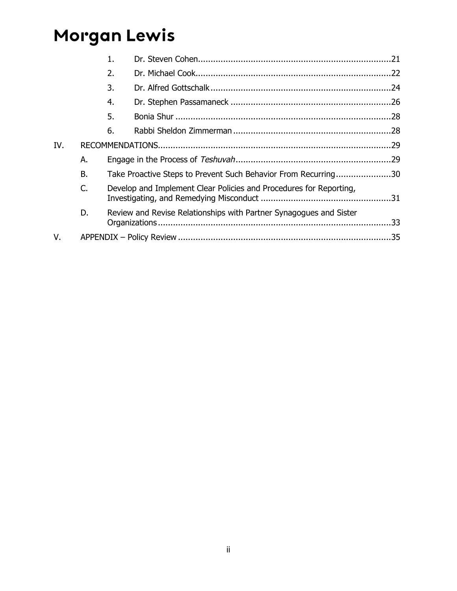|     |           | 1.                                                                 |                                                                    |  |  |
|-----|-----------|--------------------------------------------------------------------|--------------------------------------------------------------------|--|--|
|     |           | 2.                                                                 |                                                                    |  |  |
|     |           | 3.                                                                 |                                                                    |  |  |
|     |           | 4.                                                                 |                                                                    |  |  |
|     |           | 5.                                                                 |                                                                    |  |  |
|     |           | 6.                                                                 |                                                                    |  |  |
| IV. |           |                                                                    |                                                                    |  |  |
|     | А.        |                                                                    |                                                                    |  |  |
|     | <b>B.</b> | Take Proactive Steps to Prevent Such Behavior From Recurring30     |                                                                    |  |  |
|     | C.        | Develop and Implement Clear Policies and Procedures for Reporting, |                                                                    |  |  |
|     | D.        |                                                                    | Review and Revise Relationships with Partner Synagogues and Sister |  |  |
| V.  |           |                                                                    |                                                                    |  |  |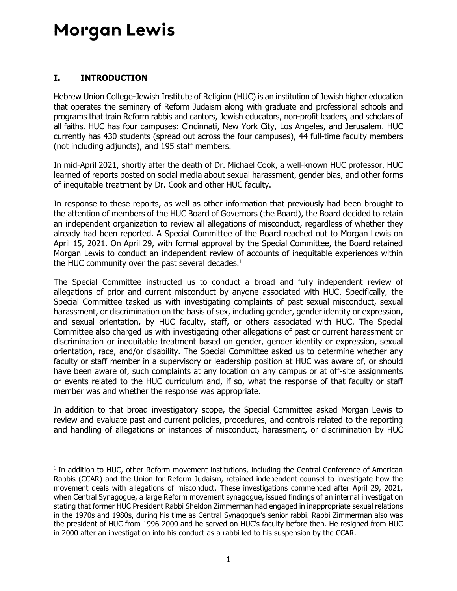### <span id="page-3-0"></span>**I. INTRODUCTION**

Hebrew Union College-Jewish Institute of Religion (HUC) is an institution of Jewish higher education that operates the seminary of Reform Judaism along with graduate and professional schools and programs that train Reform rabbis and cantors, Jewish educators, non-profit leaders, and scholars of all faiths. HUC has four campuses: Cincinnati, New York City, Los Angeles, and Jerusalem. HUC currently has 430 students (spread out across the four campuses), 44 full-time faculty members (not including adjuncts), and 195 staff members.

In mid-April 2021, shortly after the death of Dr. Michael Cook, a well-known HUC professor, HUC learned of reports posted on social media about sexual harassment, gender bias, and other forms of inequitable treatment by Dr. Cook and other HUC faculty.

In response to these reports, as well as other information that previously had been brought to the attention of members of the HUC Board of Governors (the Board), the Board decided to retain an independent organization to review all allegations of misconduct, regardless of whether they already had been reported. A Special Committee of the Board reached out to Morgan Lewis on April 15, 2021. On April 29, with formal approval by the Special Committee, the Board retained Morgan Lewis to conduct an independent review of accounts of inequitable experiences within the HUC community over the past several decades. $1$ 

The Special Committee instructed us to conduct a broad and fully independent review of allegations of prior and current misconduct by anyone associated with HUC. Specifically, the Special Committee tasked us with investigating complaints of past sexual misconduct, sexual harassment, or discrimination on the basis of sex, including gender, gender identity or expression, and sexual orientation, by HUC faculty, staff, or others associated with HUC. The Special Committee also charged us with investigating other allegations of past or current harassment or discrimination or inequitable treatment based on gender, gender identity or expression, sexual orientation, race, and/or disability. The Special Committee asked us to determine whether any faculty or staff member in a supervisory or leadership position at HUC was aware of, or should have been aware of, such complaints at any location on any campus or at off-site assignments or events related to the HUC curriculum and, if so, what the response of that faculty or staff member was and whether the response was appropriate.

In addition to that broad investigatory scope, the Special Committee asked Morgan Lewis to review and evaluate past and current policies, procedures, and controls related to the reporting and handling of allegations or instances of misconduct, harassment, or discrimination by HUC

<sup>&</sup>lt;sup>1</sup> In addition to HUC, other Reform movement institutions, including the Central Conference of American Rabbis (CCAR) and the Union for Reform Judaism, retained independent counsel to investigate how the movement deals with allegations of misconduct. These investigations commenced after April 29, 2021, when Central Synagogue, a large Reform movement synagogue, issued findings of an internal investigation stating that former HUC President Rabbi Sheldon Zimmerman had engaged in inappropriate sexual relations in the 1970s and 1980s, during his time as Central Synagogue's senior rabbi. Rabbi Zimmerman also was the president of HUC from 1996-2000 and he served on HUC's faculty before then. He resigned from HUC in 2000 after an investigation into his conduct as a rabbi led to his suspension by the CCAR.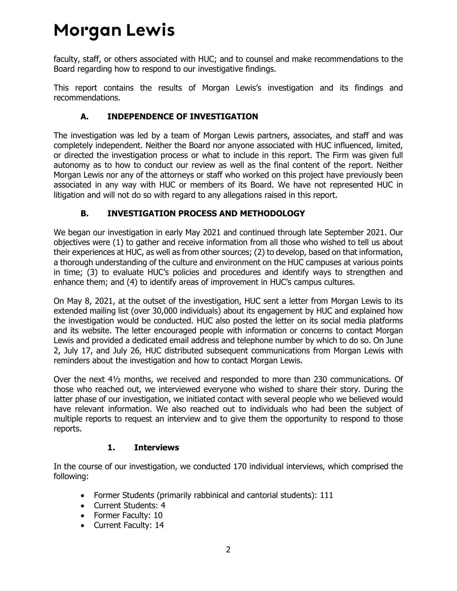faculty, staff, or others associated with HUC; and to counsel and make recommendations to the Board regarding how to respond to our investigative findings.

This report contains the results of Morgan Lewis's investigation and its findings and recommendations.

### **A. INDEPENDENCE OF INVESTIGATION**

<span id="page-4-0"></span>The investigation was led by a team of Morgan Lewis partners, associates, and staff and was completely independent. Neither the Board nor anyone associated with HUC influenced, limited, or directed the investigation process or what to include in this report. The Firm was given full autonomy as to how to conduct our review as well as the final content of the report. Neither Morgan Lewis nor any of the attorneys or staff who worked on this project have previously been associated in any way with HUC or members of its Board. We have not represented HUC in litigation and will not do so with regard to any allegations raised in this report.

### **B. INVESTIGATION PROCESS AND METHODOLOGY**

<span id="page-4-1"></span>We began our investigation in early May 2021 and continued through late September 2021. Our objectives were (1) to gather and receive information from all those who wished to tell us about their experiences at HUC, as well as from other sources; (2) to develop, based on that information, a thorough understanding of the culture and environment on the HUC campuses at various points in time; (3) to evaluate HUC's policies and procedures and identify ways to strengthen and enhance them; and (4) to identify areas of improvement in HUC's campus cultures.

On May 8, 2021, at the outset of the investigation, HUC sent a letter from Morgan Lewis to its extended mailing list (over 30,000 individuals) about its engagement by HUC and explained how the investigation would be conducted. HUC also posted the letter on its social media platforms and its website. The letter encouraged people with information or concerns to contact Morgan Lewis and provided a dedicated email address and telephone number by which to do so. On June 2, July 17, and July 26, HUC distributed subsequent communications from Morgan Lewis with reminders about the investigation and how to contact Morgan Lewis.

Over the next 4½ months, we received and responded to more than 230 communications. Of those who reached out, we interviewed everyone who wished to share their story. During the latter phase of our investigation, we initiated contact with several people who we believed would have relevant information. We also reached out to individuals who had been the subject of multiple reports to request an interview and to give them the opportunity to respond to those reports.

### **1. Interviews**

<span id="page-4-2"></span>In the course of our investigation, we conducted 170 individual interviews, which comprised the following:

- Former Students (primarily rabbinical and cantorial students): 111
- Current Students: 4
- Former Faculty: 10
- Current Faculty: 14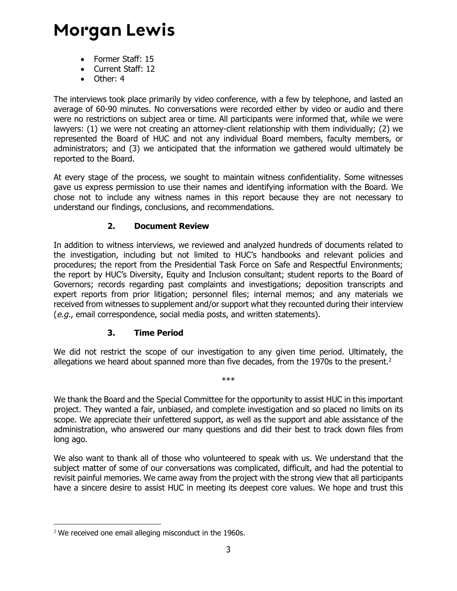- Former Staff: 15
- Current Staff: 12
- Other: 4

The interviews took place primarily by video conference, with a few by telephone, and lasted an average of 60-90 minutes. No conversations were recorded either by video or audio and there were no restrictions on subject area or time. All participants were informed that, while we were lawyers: (1) we were not creating an attorney-client relationship with them individually; (2) we represented the Board of HUC and not any individual Board members, faculty members, or administrators; and (3) we anticipated that the information we gathered would ultimately be reported to the Board.

At every stage of the process, we sought to maintain witness confidentiality. Some witnesses gave us express permission to use their names and identifying information with the Board. We chose not to include any witness names in this report because they are not necessary to understand our findings, conclusions, and recommendations.

#### **2. Document Review**

<span id="page-5-0"></span>In addition to witness interviews, we reviewed and analyzed hundreds of documents related to the investigation, including but not limited to HUC's handbooks and relevant policies and procedures; the report from the Presidential Task Force on Safe and Respectful Environments; the report by HUC's Diversity, Equity and Inclusion consultant; student reports to the Board of Governors; records regarding past complaints and investigations; deposition transcripts and expert reports from prior litigation; personnel files; internal memos; and any materials we received from witnesses to supplement and/or support what they recounted during their interview (e.g., email correspondence, social media posts, and written statements).

#### **3. Time Period**

<span id="page-5-1"></span>We did not restrict the scope of our investigation to any given time period. Ultimately, the allegations we heard about spanned more than five decades, from the 1970s to the present.<sup>2</sup>

\*\*\*

We thank the Board and the Special Committee for the opportunity to assist HUC in this important project. They wanted a fair, unbiased, and complete investigation and so placed no limits on its scope. We appreciate their unfettered support, as well as the support and able assistance of the administration, who answered our many questions and did their best to track down files from long ago.

We also want to thank all of those who volunteered to speak with us. We understand that the subject matter of some of our conversations was complicated, difficult, and had the potential to revisit painful memories. We came away from the project with the strong view that all participants have a sincere desire to assist HUC in meeting its deepest core values. We hope and trust this

<sup>&</sup>lt;sup>2</sup> We received one email alleging misconduct in the 1960s.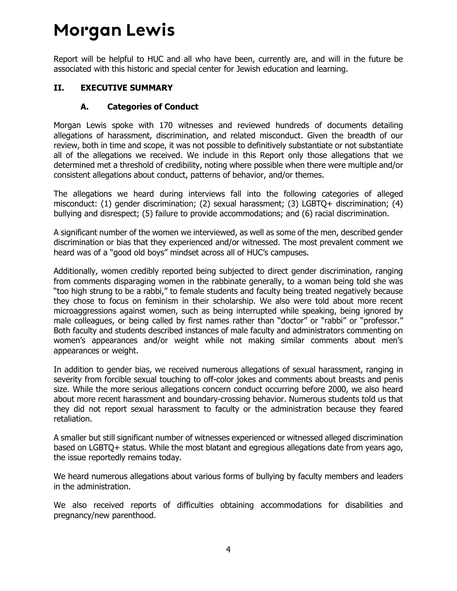Report will be helpful to HUC and all who have been, currently are, and will in the future be associated with this historic and special center for Jewish education and learning.

#### <span id="page-6-1"></span><span id="page-6-0"></span>**II. EXECUTIVE SUMMARY**

#### **A. Categories of Conduct**

Morgan Lewis spoke with 170 witnesses and reviewed hundreds of documents detailing allegations of harassment, discrimination, and related misconduct. Given the breadth of our review, both in time and scope, it was not possible to definitively substantiate or not substantiate all of the allegations we received. We include in this Report only those allegations that we determined met a threshold of credibility, noting where possible when there were multiple and/or consistent allegations about conduct, patterns of behavior, and/or themes.

The allegations we heard during interviews fall into the following categories of alleged misconduct: (1) gender discrimination; (2) sexual harassment; (3) LGBTQ+ discrimination; (4) bullying and disrespect; (5) failure to provide accommodations; and (6) racial discrimination.

A significant number of the women we interviewed, as well as some of the men, described gender discrimination or bias that they experienced and/or witnessed. The most prevalent comment we heard was of a "good old boys" mindset across all of HUC's campuses.

Additionally, women credibly reported being subjected to direct gender discrimination, ranging from comments disparaging women in the rabbinate generally, to a woman being told she was "too high strung to be a rabbi," to female students and faculty being treated negatively because they chose to focus on feminism in their scholarship. We also were told about more recent microaggressions against women, such as being interrupted while speaking, being ignored by male colleagues, or being called by first names rather than "doctor" or "rabbi" or "professor." Both faculty and students described instances of male faculty and administrators commenting on women's appearances and/or weight while not making similar comments about men's appearances or weight.

In addition to gender bias, we received numerous allegations of sexual harassment, ranging in severity from forcible sexual touching to off-color jokes and comments about breasts and penis size. While the more serious allegations concern conduct occurring before 2000, we also heard about more recent harassment and boundary-crossing behavior. Numerous students told us that they did not report sexual harassment to faculty or the administration because they feared retaliation.

A smaller but still significant number of witnesses experienced or witnessed alleged discrimination based on LGBTQ+ status. While the most blatant and egregious allegations date from years ago, the issue reportedly remains today.

We heard numerous allegations about various forms of bullying by faculty members and leaders in the administration.

We also received reports of difficulties obtaining accommodations for disabilities and pregnancy/new parenthood.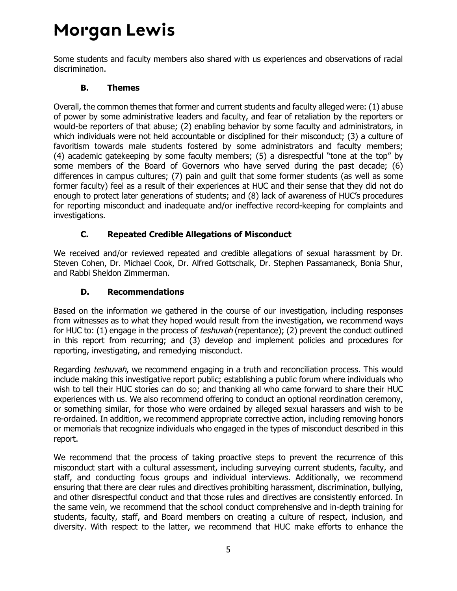Some students and faculty members also shared with us experiences and observations of racial discrimination.

#### **B. Themes**

<span id="page-7-0"></span>Overall, the common themes that former and current students and faculty alleged were: (1) abuse of power by some administrative leaders and faculty, and fear of retaliation by the reporters or would-be reporters of that abuse; (2) enabling behavior by some faculty and administrators, in which individuals were not held accountable or disciplined for their misconduct; (3) a culture of favoritism towards male students fostered by some administrators and faculty members; (4) academic gatekeeping by some faculty members; (5) a disrespectful "tone at the top" by some members of the Board of Governors who have served during the past decade; (6) differences in campus cultures; (7) pain and guilt that some former students (as well as some former faculty) feel as a result of their experiences at HUC and their sense that they did not do enough to protect later generations of students; and (8) lack of awareness of HUC's procedures for reporting misconduct and inadequate and/or ineffective record-keeping for complaints and investigations.

### **C. Repeated Credible Allegations of Misconduct**

<span id="page-7-1"></span>We received and/or reviewed repeated and credible allegations of sexual harassment by Dr. Steven Cohen, Dr. Michael Cook, Dr. Alfred Gottschalk, Dr. Stephen Passamaneck, Bonia Shur, and Rabbi Sheldon Zimmerman.

### **D. Recommendations**

<span id="page-7-2"></span>Based on the information we gathered in the course of our investigation, including responses from witnesses as to what they hoped would result from the investigation, we recommend ways for HUC to: (1) engage in the process of *teshuvah* (repentance); (2) prevent the conduct outlined in this report from recurring; and (3) develop and implement policies and procedures for reporting, investigating, and remedying misconduct.

Regarding teshuvah, we recommend engaging in a truth and reconciliation process. This would include making this investigative report public; establishing a public forum where individuals who wish to tell their HUC stories can do so; and thanking all who came forward to share their HUC experiences with us. We also recommend offering to conduct an optional reordination ceremony, or something similar, for those who were ordained by alleged sexual harassers and wish to be re-ordained. In addition, we recommend appropriate corrective action, including removing honors or memorials that recognize individuals who engaged in the types of misconduct described in this report.

We recommend that the process of taking proactive steps to prevent the recurrence of this misconduct start with a cultural assessment, including surveying current students, faculty, and staff, and conducting focus groups and individual interviews. Additionally, we recommend ensuring that there are clear rules and directives prohibiting harassment, discrimination, bullying, and other disrespectful conduct and that those rules and directives are consistently enforced. In the same vein, we recommend that the school conduct comprehensive and in-depth training for students, faculty, staff, and Board members on creating a culture of respect, inclusion, and diversity. With respect to the latter, we recommend that HUC make efforts to enhance the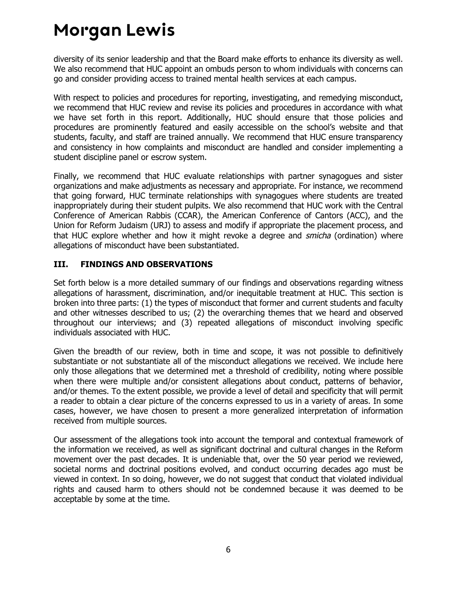diversity of its senior leadership and that the Board make efforts to enhance its diversity as well. We also recommend that HUC appoint an ombuds person to whom individuals with concerns can go and consider providing access to trained mental health services at each campus.

With respect to policies and procedures for reporting, investigating, and remedying misconduct, we recommend that HUC review and revise its policies and procedures in accordance with what we have set forth in this report. Additionally, HUC should ensure that those policies and procedures are prominently featured and easily accessible on the school's website and that students, faculty, and staff are trained annually. We recommend that HUC ensure transparency and consistency in how complaints and misconduct are handled and consider implementing a student discipline panel or escrow system.

Finally, we recommend that HUC evaluate relationships with partner synagogues and sister organizations and make adjustments as necessary and appropriate. For instance, we recommend that going forward, HUC terminate relationships with synagogues where students are treated inappropriately during their student pulpits. We also recommend that HUC work with the Central Conference of American Rabbis (CCAR), the American Conference of Cantors (ACC), and the Union for Reform Judaism (URJ) to assess and modify if appropriate the placement process, and that HUC explore whether and how it might revoke a degree and *smicha* (ordination) where allegations of misconduct have been substantiated.

#### <span id="page-8-0"></span>**III. FINDINGS AND OBSERVATIONS**

Set forth below is a more detailed summary of our findings and observations regarding witness allegations of harassment, discrimination, and/or inequitable treatment at HUC. This section is broken into three parts: (1) the types of misconduct that former and current students and faculty and other witnesses described to us; (2) the overarching themes that we heard and observed throughout our interviews; and (3) repeated allegations of misconduct involving specific individuals associated with HUC.

Given the breadth of our review, both in time and scope, it was not possible to definitively substantiate or not substantiate all of the misconduct allegations we received. We include here only those allegations that we determined met a threshold of credibility, noting where possible when there were multiple and/or consistent allegations about conduct, patterns of behavior, and/or themes. To the extent possible, we provide a level of detail and specificity that will permit a reader to obtain a clear picture of the concerns expressed to us in a variety of areas. In some cases, however, we have chosen to present a more generalized interpretation of information received from multiple sources.

Our assessment of the allegations took into account the temporal and contextual framework of the information we received, as well as significant doctrinal and cultural changes in the Reform movement over the past decades. It is undeniable that, over the 50 year period we reviewed, societal norms and doctrinal positions evolved, and conduct occurring decades ago must be viewed in context. In so doing, however, we do not suggest that conduct that violated individual rights and caused harm to others should not be condemned because it was deemed to be acceptable by some at the time.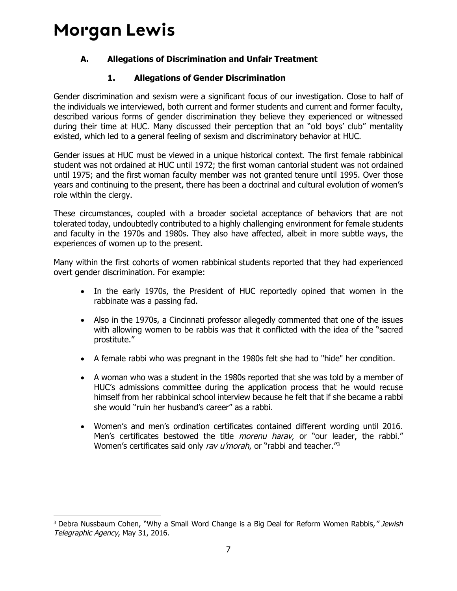### <span id="page-9-0"></span>**A. Allegations of Discrimination and Unfair Treatment**

### **1. Allegations of Gender Discrimination**

<span id="page-9-1"></span>Gender discrimination and sexism were a significant focus of our investigation. Close to half of the individuals we interviewed, both current and former students and current and former faculty, described various forms of gender discrimination they believe they experienced or witnessed during their time at HUC. Many discussed their perception that an "old boys' club" mentality existed, which led to a general feeling of sexism and discriminatory behavior at HUC.

Gender issues at HUC must be viewed in a unique historical context. The first female rabbinical student was not ordained at HUC until 1972; the first woman cantorial student was not ordained until 1975; and the first woman faculty member was not granted tenure until 1995. Over those years and continuing to the present, there has been a doctrinal and cultural evolution of women's role within the clergy.

These circumstances, coupled with a broader societal acceptance of behaviors that are not tolerated today, undoubtedly contributed to a highly challenging environment for female students and faculty in the 1970s and 1980s. They also have affected, albeit in more subtle ways, the experiences of women up to the present.

Many within the first cohorts of women rabbinical students reported that they had experienced overt gender discrimination. For example:

- In the early 1970s, the President of HUC reportedly opined that women in the rabbinate was a passing fad.
- Also in the 1970s, a Cincinnati professor allegedly commented that one of the issues with allowing women to be rabbis was that it conflicted with the idea of the "sacred prostitute."
- A female rabbi who was pregnant in the 1980s felt she had to "hide" her condition.
- A woman who was a student in the 1980s reported that she was told by a member of HUC's admissions committee during the application process that he would recuse himself from her rabbinical school interview because he felt that if she became a rabbi she would "ruin her husband's career" as a rabbi.
- Women's and men's ordination certificates contained different wording until 2016. Men's certificates bestowed the title *morenu harav*, or "our leader, the rabbi." Women's certificates said only rav u'morah, or "rabbi and teacher."<sup>3</sup>

<sup>&</sup>lt;sup>3</sup> Debra Nussbaum Cohen, "Why a Small Word Change is a Big Deal for Reform Women Rabbis," Jewish Telegraphic Agency, May 31, 2016.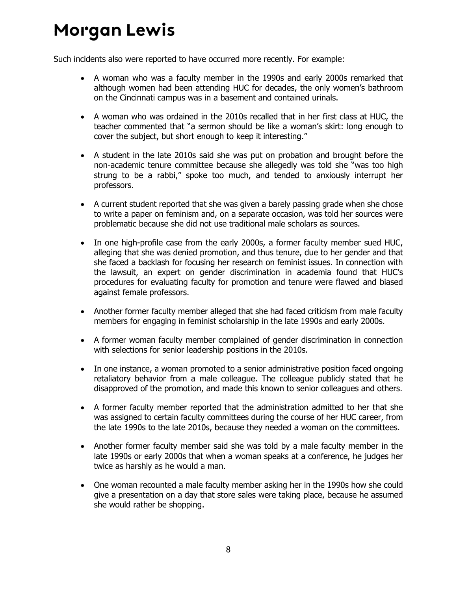Such incidents also were reported to have occurred more recently. For example:

- A woman who was a faculty member in the 1990s and early 2000s remarked that although women had been attending HUC for decades, the only women's bathroom on the Cincinnati campus was in a basement and contained urinals.
- A woman who was ordained in the 2010s recalled that in her first class at HUC, the teacher commented that "a sermon should be like a woman's skirt: long enough to cover the subject, but short enough to keep it interesting."
- A student in the late 2010s said she was put on probation and brought before the non-academic tenure committee because she allegedly was told she "was too high strung to be a rabbi," spoke too much, and tended to anxiously interrupt her professors.
- A current student reported that she was given a barely passing grade when she chose to write a paper on feminism and, on a separate occasion, was told her sources were problematic because she did not use traditional male scholars as sources.
- In one high-profile case from the early 2000s, a former faculty member sued HUC, alleging that she was denied promotion, and thus tenure, due to her gender and that she faced a backlash for focusing her research on feminist issues. In connection with the lawsuit, an expert on gender discrimination in academia found that HUC's procedures for evaluating faculty for promotion and tenure were flawed and biased against female professors.
- Another former faculty member alleged that she had faced criticism from male faculty members for engaging in feminist scholarship in the late 1990s and early 2000s.
- A former woman faculty member complained of gender discrimination in connection with selections for senior leadership positions in the 2010s.
- In one instance, a woman promoted to a senior administrative position faced ongoing retaliatory behavior from a male colleague. The colleague publicly stated that he disapproved of the promotion, and made this known to senior colleagues and others.
- A former faculty member reported that the administration admitted to her that she was assigned to certain faculty committees during the course of her HUC career, from the late 1990s to the late 2010s, because they needed a woman on the committees.
- Another former faculty member said she was told by a male faculty member in the late 1990s or early 2000s that when a woman speaks at a conference, he judges her twice as harshly as he would a man.
- One woman recounted a male faculty member asking her in the 1990s how she could give a presentation on a day that store sales were taking place, because he assumed she would rather be shopping.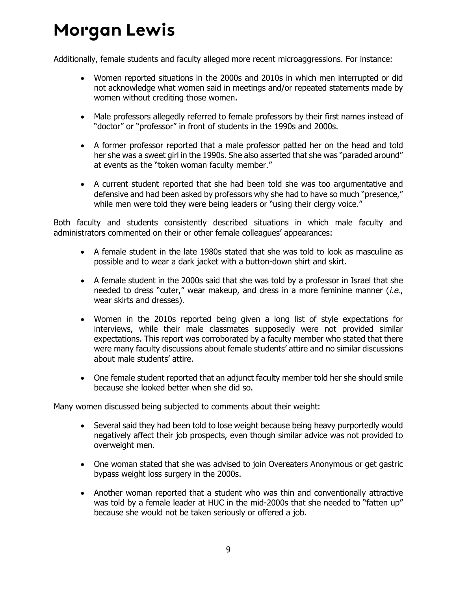Additionally, female students and faculty alleged more recent microaggressions. For instance:

- Women reported situations in the 2000s and 2010s in which men interrupted or did not acknowledge what women said in meetings and/or repeated statements made by women without crediting those women.
- Male professors allegedly referred to female professors by their first names instead of "doctor" or "professor" in front of students in the 1990s and 2000s.
- A former professor reported that a male professor patted her on the head and told her she was a sweet girl in the 1990s. She also asserted that she was "paraded around" at events as the "token woman faculty member."
- A current student reported that she had been told she was too argumentative and defensive and had been asked by professors why she had to have so much "presence," while men were told they were being leaders or "using their clergy voice."

Both faculty and students consistently described situations in which male faculty and administrators commented on their or other female colleagues' appearances:

- A female student in the late 1980s stated that she was told to look as masculine as possible and to wear a dark jacket with a button-down shirt and skirt.
- A female student in the 2000s said that she was told by a professor in Israel that she needed to dress "cuter," wear makeup, and dress in a more feminine manner (*i.e.*, wear skirts and dresses).
- Women in the 2010s reported being given a long list of style expectations for interviews, while their male classmates supposedly were not provided similar expectations. This report was corroborated by a faculty member who stated that there were many faculty discussions about female students' attire and no similar discussions about male students' attire.
- One female student reported that an adjunct faculty member told her she should smile because she looked better when she did so.

Many women discussed being subjected to comments about their weight:

- Several said they had been told to lose weight because being heavy purportedly would negatively affect their job prospects, even though similar advice was not provided to overweight men.
- One woman stated that she was advised to join Overeaters Anonymous or get gastric bypass weight loss surgery in the 2000s.
- Another woman reported that a student who was thin and conventionally attractive was told by a female leader at HUC in the mid-2000s that she needed to "fatten up" because she would not be taken seriously or offered a job.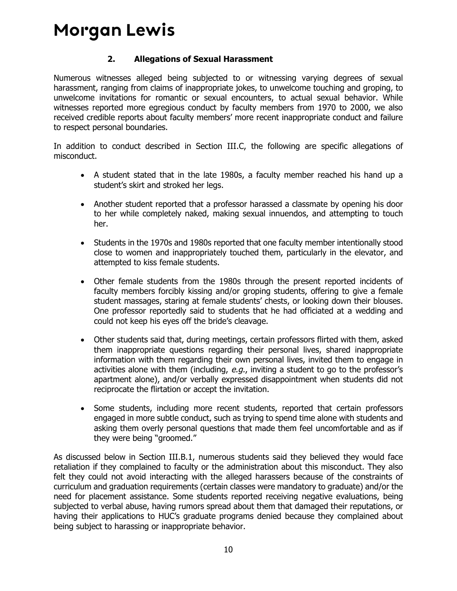#### **2. Allegations of Sexual Harassment**

<span id="page-12-0"></span>Numerous witnesses alleged being subjected to or witnessing varying degrees of sexual harassment, ranging from claims of inappropriate jokes, to unwelcome touching and groping, to unwelcome invitations for romantic or sexual encounters, to actual sexual behavior. While witnesses reported more egregious conduct by faculty members from 1970 to 2000, we also received credible reports about faculty members' more recent inappropriate conduct and failure to respect personal boundaries.

In addition to conduct described in Section III.C, the following are specific allegations of misconduct.

- A student stated that in the late 1980s, a faculty member reached his hand up a student's skirt and stroked her legs.
- Another student reported that a professor harassed a classmate by opening his door to her while completely naked, making sexual innuendos, and attempting to touch her.
- Students in the 1970s and 1980s reported that one faculty member intentionally stood close to women and inappropriately touched them, particularly in the elevator, and attempted to kiss female students.
- Other female students from the 1980s through the present reported incidents of faculty members forcibly kissing and/or groping students, offering to give a female student massages, staring at female students' chests, or looking down their blouses. One professor reportedly said to students that he had officiated at a wedding and could not keep his eyes off the bride's cleavage.
- Other students said that, during meetings, certain professors flirted with them, asked them inappropriate questions regarding their personal lives, shared inappropriate information with them regarding their own personal lives, invited them to engage in activities alone with them (including, e.g., inviting a student to go to the professor's apartment alone), and/or verbally expressed disappointment when students did not reciprocate the flirtation or accept the invitation.
- Some students, including more recent students, reported that certain professors engaged in more subtle conduct, such as trying to spend time alone with students and asking them overly personal questions that made them feel uncomfortable and as if they were being "groomed."

As discussed below in Section III.B.1, numerous students said they believed they would face retaliation if they complained to faculty or the administration about this misconduct. They also felt they could not avoid interacting with the alleged harassers because of the constraints of curriculum and graduation requirements (certain classes were mandatory to graduate) and/or the need for placement assistance. Some students reported receiving negative evaluations, being subjected to verbal abuse, having rumors spread about them that damaged their reputations, or having their applications to HUC's graduate programs denied because they complained about being subject to harassing or inappropriate behavior.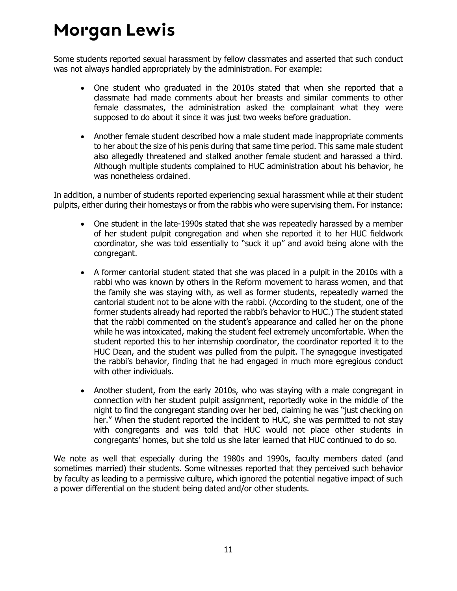Some students reported sexual harassment by fellow classmates and asserted that such conduct was not always handled appropriately by the administration. For example:

- One student who graduated in the 2010s stated that when she reported that a classmate had made comments about her breasts and similar comments to other female classmates, the administration asked the complainant what they were supposed to do about it since it was just two weeks before graduation.
- Another female student described how a male student made inappropriate comments to her about the size of his penis during that same time period. This same male student also allegedly threatened and stalked another female student and harassed a third. Although multiple students complained to HUC administration about his behavior, he was nonetheless ordained.

In addition, a number of students reported experiencing sexual harassment while at their student pulpits, either during their homestays or from the rabbis who were supervising them. For instance:

- One student in the late-1990s stated that she was repeatedly harassed by a member of her student pulpit congregation and when she reported it to her HUC fieldwork coordinator, she was told essentially to "suck it up" and avoid being alone with the congregant.
- A former cantorial student stated that she was placed in a pulpit in the 2010s with a rabbi who was known by others in the Reform movement to harass women, and that the family she was staying with, as well as former students, repeatedly warned the cantorial student not to be alone with the rabbi. (According to the student, one of the former students already had reported the rabbi's behavior to HUC.) The student stated that the rabbi commented on the student's appearance and called her on the phone while he was intoxicated, making the student feel extremely uncomfortable. When the student reported this to her internship coordinator, the coordinator reported it to the HUC Dean, and the student was pulled from the pulpit. The synagogue investigated the rabbi's behavior, finding that he had engaged in much more egregious conduct with other individuals.
- Another student, from the early 2010s, who was staying with a male congregant in connection with her student pulpit assignment, reportedly woke in the middle of the night to find the congregant standing over her bed, claiming he was "just checking on her." When the student reported the incident to HUC, she was permitted to not stay with congregants and was told that HUC would not place other students in congregants' homes, but she told us she later learned that HUC continued to do so.

We note as well that especially during the 1980s and 1990s, faculty members dated (and sometimes married) their students. Some witnesses reported that they perceived such behavior by faculty as leading to a permissive culture, which ignored the potential negative impact of such a power differential on the student being dated and/or other students.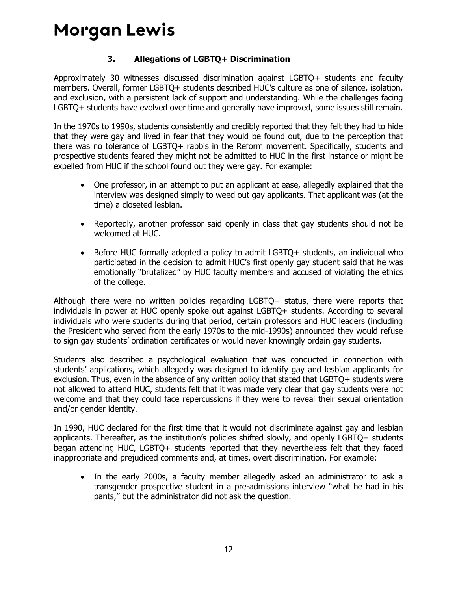### **3. Allegations of LGBTQ+ Discrimination**

<span id="page-14-0"></span>Approximately 30 witnesses discussed discrimination against LGBTQ+ students and faculty members. Overall, former LGBTQ+ students described HUC's culture as one of silence, isolation, and exclusion, with a persistent lack of support and understanding. While the challenges facing LGBTQ+ students have evolved over time and generally have improved, some issues still remain.

In the 1970s to 1990s, students consistently and credibly reported that they felt they had to hide that they were gay and lived in fear that they would be found out, due to the perception that there was no tolerance of LGBTQ+ rabbis in the Reform movement. Specifically, students and prospective students feared they might not be admitted to HUC in the first instance or might be expelled from HUC if the school found out they were gay. For example:

- One professor, in an attempt to put an applicant at ease, allegedly explained that the interview was designed simply to weed out gay applicants. That applicant was (at the time) a closeted lesbian.
- Reportedly, another professor said openly in class that gay students should not be welcomed at HUC.
- Before HUC formally adopted a policy to admit LGBTQ+ students, an individual who participated in the decision to admit HUC's first openly gay student said that he was emotionally "brutalized" by HUC faculty members and accused of violating the ethics of the college.

Although there were no written policies regarding LGBTQ+ status, there were reports that individuals in power at HUC openly spoke out against LGBTQ+ students. According to several individuals who were students during that period, certain professors and HUC leaders (including the President who served from the early 1970s to the mid-1990s) announced they would refuse to sign gay students' ordination certificates or would never knowingly ordain gay students.

Students also described a psychological evaluation that was conducted in connection with students' applications, which allegedly was designed to identify gay and lesbian applicants for exclusion. Thus, even in the absence of any written policy that stated that LGBTQ+ students were not allowed to attend HUC, students felt that it was made very clear that gay students were not welcome and that they could face repercussions if they were to reveal their sexual orientation and/or gender identity.

In 1990, HUC declared for the first time that it would not discriminate against gay and lesbian applicants. Thereafter, as the institution's policies shifted slowly, and openly LGBTQ+ students began attending HUC, LGBTQ+ students reported that they nevertheless felt that they faced inappropriate and prejudiced comments and, at times, overt discrimination. For example:

• In the early 2000s, a faculty member allegedly asked an administrator to ask a transgender prospective student in a pre-admissions interview "what he had in his pants," but the administrator did not ask the question.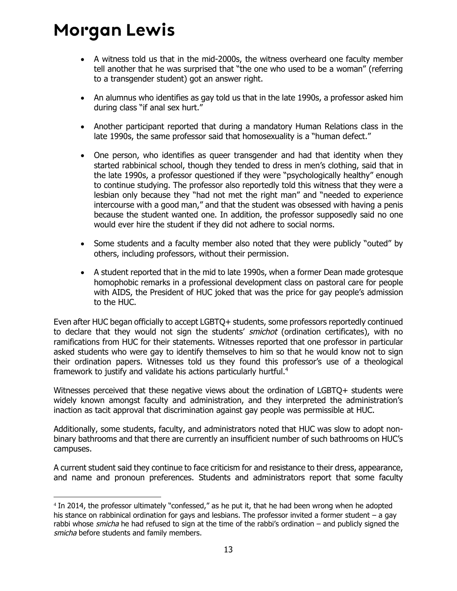- A witness told us that in the mid-2000s, the witness overheard one faculty member tell another that he was surprised that "the one who used to be a woman" (referring to a transgender student) got an answer right.
- An alumnus who identifies as gay told us that in the late 1990s, a professor asked him during class "if anal sex hurt."
- Another participant reported that during a mandatory Human Relations class in the late 1990s, the same professor said that homosexuality is a "human defect."
- One person, who identifies as queer transgender and had that identity when they started rabbinical school, though they tended to dress in men's clothing, said that in the late 1990s, a professor questioned if they were "psychologically healthy" enough to continue studying. The professor also reportedly told this witness that they were a lesbian only because they "had not met the right man" and "needed to experience intercourse with a good man," and that the student was obsessed with having a penis because the student wanted one. In addition, the professor supposedly said no one would ever hire the student if they did not adhere to social norms.
- Some students and a faculty member also noted that they were publicly "outed" by others, including professors, without their permission.
- A student reported that in the mid to late 1990s, when a former Dean made grotesque homophobic remarks in a professional development class on pastoral care for people with AIDS, the President of HUC joked that was the price for gay people's admission to the HUC.

Even after HUC began officially to accept LGBTQ+ students, some professors reportedly continued to declare that they would not sign the students' smichot (ordination certificates), with no ramifications from HUC for their statements. Witnesses reported that one professor in particular asked students who were gay to identify themselves to him so that he would know not to sign their ordination papers. Witnesses told us they found this professor's use of a theological framework to justify and validate his actions particularly hurtful.<sup>4</sup>

Witnesses perceived that these negative views about the ordination of LGBTQ+ students were widely known amongst faculty and administration, and they interpreted the administration's inaction as tacit approval that discrimination against gay people was permissible at HUC.

Additionally, some students, faculty, and administrators noted that HUC was slow to adopt nonbinary bathrooms and that there are currently an insufficient number of such bathrooms on HUC's campuses.

A current student said they continue to face criticism for and resistance to their dress, appearance, and name and pronoun preferences. Students and administrators report that some faculty

<sup>4</sup> In 2014, the professor ultimately "confessed," as he put it, that he had been wrong when he adopted his stance on rabbinical ordination for gays and lesbians. The professor invited a former student – a gay rabbi whose *smicha* he had refused to sign at the time of the rabbi's ordination – and publicly signed the smicha before students and family members.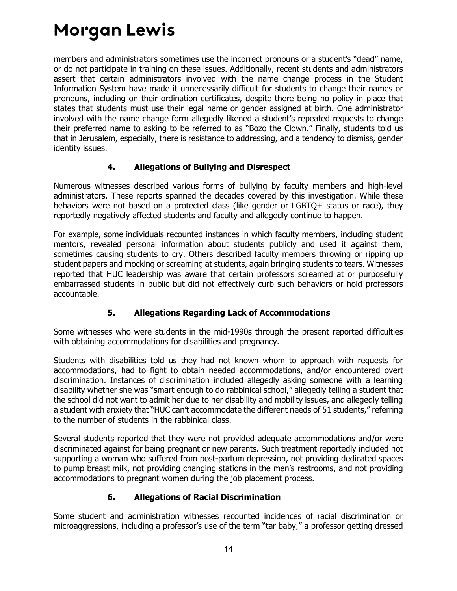members and administrators sometimes use the incorrect pronouns or a student's "dead" name, or do not participate in training on these issues. Additionally, recent students and administrators assert that certain administrators involved with the name change process in the Student Information System have made it unnecessarily difficult for students to change their names or pronouns, including on their ordination certificates, despite there being no policy in place that states that students must use their legal name or gender assigned at birth. One administrator involved with the name change form allegedly likened a student's repeated requests to change their preferred name to asking to be referred to as "Bozo the Clown." Finally, students told us that in Jerusalem, especially, there is resistance to addressing, and a tendency to dismiss, gender identity issues.

#### **4. Allegations of Bullying and Disrespect**

<span id="page-16-0"></span>Numerous witnesses described various forms of bullying by faculty members and high-level administrators. These reports spanned the decades covered by this investigation. While these behaviors were not based on a protected class (like gender or LGBTQ+ status or race), they reportedly negatively affected students and faculty and allegedly continue to happen.

For example, some individuals recounted instances in which faculty members, including student mentors, revealed personal information about students publicly and used it against them, sometimes causing students to cry. Others described faculty members throwing or ripping up student papers and mocking or screaming at students, again bringing students to tears. Witnesses reported that HUC leadership was aware that certain professors screamed at or purposefully embarrassed students in public but did not effectively curb such behaviors or hold professors accountable.

### **5. Allegations Regarding Lack of Accommodations**

<span id="page-16-1"></span>Some witnesses who were students in the mid-1990s through the present reported difficulties with obtaining accommodations for disabilities and pregnancy.

Students with disabilities told us they had not known whom to approach with requests for accommodations, had to fight to obtain needed accommodations, and/or encountered overt discrimination. Instances of discrimination included allegedly asking someone with a learning disability whether she was "smart enough to do rabbinical school," allegedly telling a student that the school did not want to admit her due to her disability and mobility issues, and allegedly telling a student with anxiety that "HUC can't accommodate the different needs of 51 students," referring to the number of students in the rabbinical class.

Several students reported that they were not provided adequate accommodations and/or were discriminated against for being pregnant or new parents. Such treatment reportedly included not supporting a woman who suffered from post-partum depression, not providing dedicated spaces to pump breast milk, not providing changing stations in the men's restrooms, and not providing accommodations to pregnant women during the job placement process.

### **6. Allegations of Racial Discrimination**

<span id="page-16-2"></span>Some student and administration witnesses recounted incidences of racial discrimination or microaggressions, including a professor's use of the term "tar baby," a professor getting dressed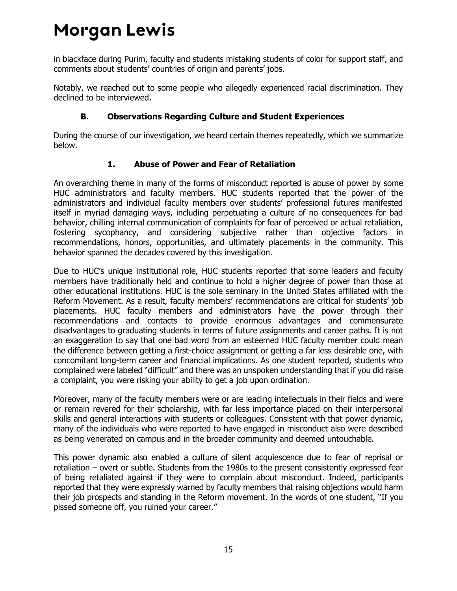in blackface during Purim, faculty and students mistaking students of color for support staff, and comments about students' countries of origin and parents' jobs.

Notably, we reached out to some people who allegedly experienced racial discrimination. They declined to be interviewed.

### **B. Observations Regarding Culture and Student Experiences**

<span id="page-17-0"></span>During the course of our investigation, we heard certain themes repeatedly, which we summarize below.

#### **1. Abuse of Power and Fear of Retaliation**

<span id="page-17-1"></span>An overarching theme in many of the forms of misconduct reported is abuse of power by some HUC administrators and faculty members. HUC students reported that the power of the administrators and individual faculty members over students' professional futures manifested itself in myriad damaging ways, including perpetuating a culture of no consequences for bad behavior, chilling internal communication of complaints for fear of perceived or actual retaliation, fostering sycophancy, and considering subjective rather than objective factors in recommendations, honors, opportunities, and ultimately placements in the community. This behavior spanned the decades covered by this investigation.

Due to HUC's unique institutional role, HUC students reported that some leaders and faculty members have traditionally held and continue to hold a higher degree of power than those at other educational institutions. HUC is the sole seminary in the United States affiliated with the Reform Movement. As a result, faculty members' recommendations are critical for students' job placements. HUC faculty members and administrators have the power through their recommendations and contacts to provide enormous advantages and commensurate disadvantages to graduating students in terms of future assignments and career paths. It is not an exaggeration to say that one bad word from an esteemed HUC faculty member could mean the difference between getting a first-choice assignment or getting a far less desirable one, with concomitant long-term career and financial implications. As one student reported, students who complained were labeled "difficult" and there was an unspoken understanding that if you did raise a complaint, you were risking your ability to get a job upon ordination.

Moreover, many of the faculty members were or are leading intellectuals in their fields and were or remain revered for their scholarship, with far less importance placed on their interpersonal skills and general interactions with students or colleagues. Consistent with that power dynamic, many of the individuals who were reported to have engaged in misconduct also were described as being venerated on campus and in the broader community and deemed untouchable.

This power dynamic also enabled a culture of silent acquiescence due to fear of reprisal or retaliation – overt or subtle. Students from the 1980s to the present consistently expressed fear of being retaliated against if they were to complain about misconduct. Indeed, participants reported that they were expressly warned by faculty members that raising objections would harm their job prospects and standing in the Reform movement. In the words of one student, "If you pissed someone off, you ruined your career."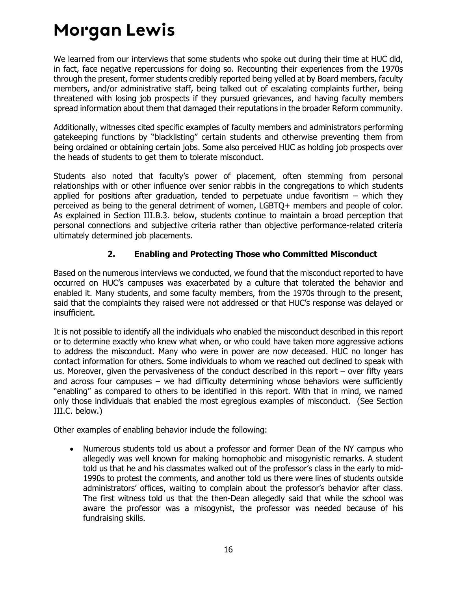We learned from our interviews that some students who spoke out during their time at HUC did, in fact, face negative repercussions for doing so. Recounting their experiences from the 1970s through the present, former students credibly reported being yelled at by Board members, faculty members, and/or administrative staff, being talked out of escalating complaints further, being threatened with losing job prospects if they pursued grievances, and having faculty members spread information about them that damaged their reputations in the broader Reform community.

Additionally, witnesses cited specific examples of faculty members and administrators performing gatekeeping functions by "blacklisting" certain students and otherwise preventing them from being ordained or obtaining certain jobs. Some also perceived HUC as holding job prospects over the heads of students to get them to tolerate misconduct.

Students also noted that faculty's power of placement, often stemming from personal relationships with or other influence over senior rabbis in the congregations to which students applied for positions after graduation, tended to perpetuate undue favoritism  $-$  which they perceived as being to the general detriment of women, LGBTQ+ members and people of color. As explained in Section III.B.3. below, students continue to maintain a broad perception that personal connections and subjective criteria rather than objective performance-related criteria ultimately determined job placements.

### **2. Enabling and Protecting Those who Committed Misconduct**

<span id="page-18-0"></span>Based on the numerous interviews we conducted, we found that the misconduct reported to have occurred on HUC's campuses was exacerbated by a culture that tolerated the behavior and enabled it. Many students, and some faculty members, from the 1970s through to the present, said that the complaints they raised were not addressed or that HUC's response was delayed or insufficient.

It is not possible to identify all the individuals who enabled the misconduct described in this report or to determine exactly who knew what when, or who could have taken more aggressive actions to address the misconduct. Many who were in power are now deceased. HUC no longer has contact information for others. Some individuals to whom we reached out declined to speak with us. Moreover, given the pervasiveness of the conduct described in this report – over fifty years and across four campuses – we had difficulty determining whose behaviors were sufficiently "enabling" as compared to others to be identified in this report. With that in mind, we named only those individuals that enabled the most egregious examples of misconduct. (See Section III.C. below.)

Other examples of enabling behavior include the following:

 Numerous students told us about a professor and former Dean of the NY campus who allegedly was well known for making homophobic and misogynistic remarks. A student told us that he and his classmates walked out of the professor's class in the early to mid-1990s to protest the comments, and another told us there were lines of students outside administrators' offices, waiting to complain about the professor's behavior after class. The first witness told us that the then-Dean allegedly said that while the school was aware the professor was a misogynist, the professor was needed because of his fundraising skills.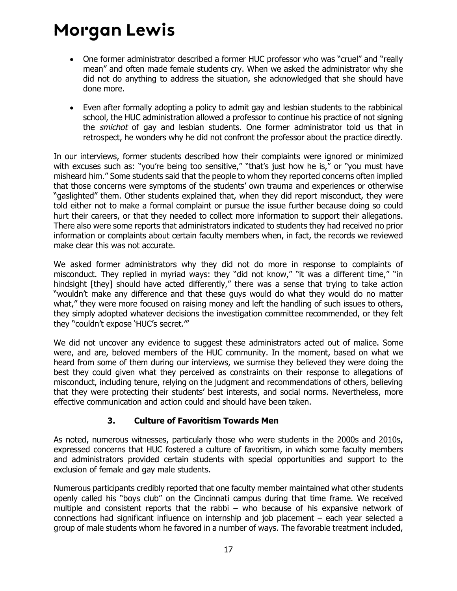- One former administrator described a former HUC professor who was "cruel" and "really mean" and often made female students cry. When we asked the administrator why she did not do anything to address the situation, she acknowledged that she should have done more.
- Even after formally adopting a policy to admit gay and lesbian students to the rabbinical school, the HUC administration allowed a professor to continue his practice of not signing the *smichot* of gay and lesbian students. One former administrator told us that in retrospect, he wonders why he did not confront the professor about the practice directly.

In our interviews, former students described how their complaints were ignored or minimized with excuses such as: "you're being too sensitive," "that's just how he is," or "you must have misheard him." Some students said that the people to whom they reported concerns often implied that those concerns were symptoms of the students' own trauma and experiences or otherwise "gaslighted" them. Other students explained that, when they did report misconduct, they were told either not to make a formal complaint or pursue the issue further because doing so could hurt their careers, or that they needed to collect more information to support their allegations. There also were some reports that administrators indicated to students they had received no prior information or complaints about certain faculty members when, in fact, the records we reviewed make clear this was not accurate.

We asked former administrators why they did not do more in response to complaints of misconduct. They replied in myriad ways: they "did not know," "it was a different time," "in hindsight [they] should have acted differently," there was a sense that trying to take action "wouldn't make any difference and that these guys would do what they would do no matter what," they were more focused on raising money and left the handling of such issues to others, they simply adopted whatever decisions the investigation committee recommended, or they felt they "couldn't expose 'HUC's secret.'"

We did not uncover any evidence to suggest these administrators acted out of malice. Some were, and are, beloved members of the HUC community. In the moment, based on what we heard from some of them during our interviews, we surmise they believed they were doing the best they could given what they perceived as constraints on their response to allegations of misconduct, including tenure, relying on the judgment and recommendations of others, believing that they were protecting their students' best interests, and social norms. Nevertheless, more effective communication and action could and should have been taken.

### **3. Culture of Favoritism Towards Men**

<span id="page-19-0"></span>As noted, numerous witnesses, particularly those who were students in the 2000s and 2010s, expressed concerns that HUC fostered a culture of favoritism, in which some faculty members and administrators provided certain students with special opportunities and support to the exclusion of female and gay male students.

Numerous participants credibly reported that one faculty member maintained what other students openly called his "boys club" on the Cincinnati campus during that time frame. We received multiple and consistent reports that the rabbi – who because of his expansive network of connections had significant influence on internship and job placement – each year selected a group of male students whom he favored in a number of ways. The favorable treatment included,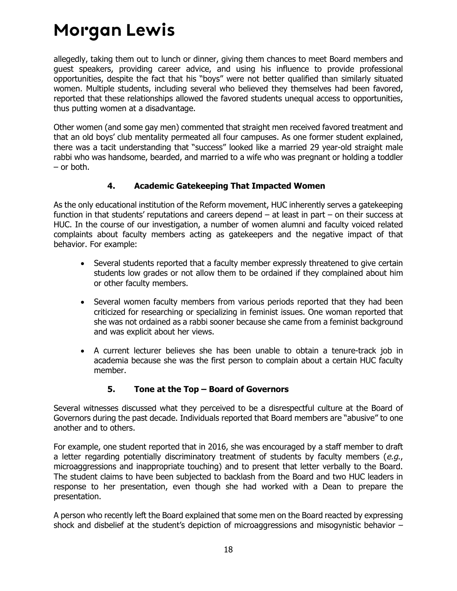allegedly, taking them out to lunch or dinner, giving them chances to meet Board members and guest speakers, providing career advice, and using his influence to provide professional opportunities, despite the fact that his "boys" were not better qualified than similarly situated women. Multiple students, including several who believed they themselves had been favored, reported that these relationships allowed the favored students unequal access to opportunities, thus putting women at a disadvantage.

Other women (and some gay men) commented that straight men received favored treatment and that an old boys' club mentality permeated all four campuses. As one former student explained, there was a tacit understanding that "success" looked like a married 29 year-old straight male rabbi who was handsome, bearded, and married to a wife who was pregnant or holding a toddler – or both.

#### **4. Academic Gatekeeping That Impacted Women**

<span id="page-20-0"></span>As the only educational institution of the Reform movement, HUC inherently serves a gatekeeping function in that students' reputations and careers depend – at least in part – on their success at HUC. In the course of our investigation, a number of women alumni and faculty voiced related complaints about faculty members acting as gatekeepers and the negative impact of that behavior. For example:

- Several students reported that a faculty member expressly threatened to give certain students low grades or not allow them to be ordained if they complained about him or other faculty members.
- Several women faculty members from various periods reported that they had been criticized for researching or specializing in feminist issues. One woman reported that she was not ordained as a rabbi sooner because she came from a feminist background and was explicit about her views.
- A current lecturer believes she has been unable to obtain a tenure-track job in academia because she was the first person to complain about a certain HUC faculty member.

### **5. Tone at the Top – Board of Governors**

<span id="page-20-1"></span>Several witnesses discussed what they perceived to be a disrespectful culture at the Board of Governors during the past decade. Individuals reported that Board members are "abusive" to one another and to others.

For example, one student reported that in 2016, she was encouraged by a staff member to draft a letter regarding potentially discriminatory treatment of students by faculty members (e.g., microaggressions and inappropriate touching) and to present that letter verbally to the Board. The student claims to have been subjected to backlash from the Board and two HUC leaders in response to her presentation, even though she had worked with a Dean to prepare the presentation.

A person who recently left the Board explained that some men on the Board reacted by expressing shock and disbelief at the student's depiction of microaggressions and misogynistic behavior –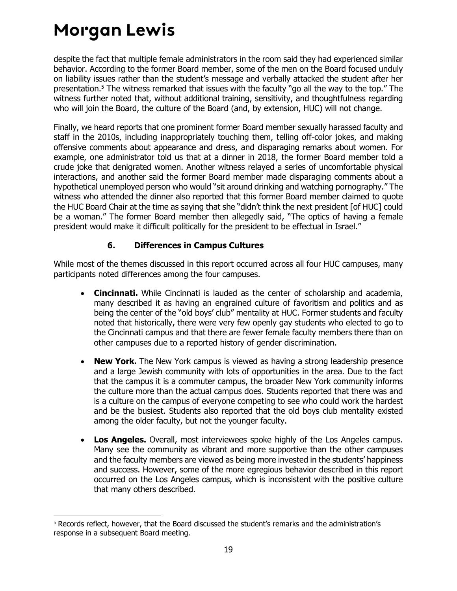despite the fact that multiple female administrators in the room said they had experienced similar behavior. According to the former Board member, some of the men on the Board focused unduly on liability issues rather than the student's message and verbally attacked the student after her presentation.<sup>5</sup> The witness remarked that issues with the faculty "go all the way to the top." The witness further noted that, without additional training, sensitivity, and thoughtfulness regarding who will join the Board, the culture of the Board (and, by extension, HUC) will not change.

Finally, we heard reports that one prominent former Board member sexually harassed faculty and staff in the 2010s, including inappropriately touching them, telling off-color jokes, and making offensive comments about appearance and dress, and disparaging remarks about women. For example, one administrator told us that at a dinner in 2018, the former Board member told a crude joke that denigrated women. Another witness relayed a series of uncomfortable physical interactions, and another said the former Board member made disparaging comments about a hypothetical unemployed person who would "sit around drinking and watching pornography." The witness who attended the dinner also reported that this former Board member claimed to quote the HUC Board Chair at the time as saying that she "didn't think the next president [of HUC] could be a woman." The former Board member then allegedly said, "The optics of having a female president would make it difficult politically for the president to be effectual in Israel."

#### **6. Differences in Campus Cultures**

<span id="page-21-0"></span>While most of the themes discussed in this report occurred across all four HUC campuses, many participants noted differences among the four campuses.

- **Cincinnati.** While Cincinnati is lauded as the center of scholarship and academia, many described it as having an engrained culture of favoritism and politics and as being the center of the "old boys' club" mentality at HUC. Former students and faculty noted that historically, there were very few openly gay students who elected to go to the Cincinnati campus and that there are fewer female faculty members there than on other campuses due to a reported history of gender discrimination.
- **New York.** The New York campus is viewed as having a strong leadership presence and a large Jewish community with lots of opportunities in the area. Due to the fact that the campus it is a commuter campus, the broader New York community informs the culture more than the actual campus does. Students reported that there was and is a culture on the campus of everyone competing to see who could work the hardest and be the busiest. Students also reported that the old boys club mentality existed among the older faculty, but not the younger faculty.
- **Los Angeles.** Overall, most interviewees spoke highly of the Los Angeles campus. Many see the community as vibrant and more supportive than the other campuses and the faculty members are viewed as being more invested in the students' happiness and success. However, some of the more egregious behavior described in this report occurred on the Los Angeles campus, which is inconsistent with the positive culture that many others described.

<sup>&</sup>lt;sup>5</sup> Records reflect, however, that the Board discussed the student's remarks and the administration's response in a subsequent Board meeting.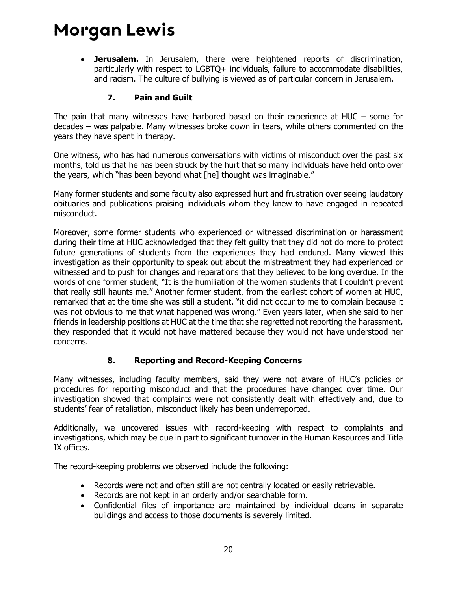**Jerusalem.** In Jerusalem, there were heightened reports of discrimination, particularly with respect to LGBTQ+ individuals, failure to accommodate disabilities, and racism. The culture of bullying is viewed as of particular concern in Jerusalem.

#### **7. Pain and Guilt**

<span id="page-22-0"></span>The pain that many witnesses have harbored based on their experience at HUC – some for decades – was palpable. Many witnesses broke down in tears, while others commented on the years they have spent in therapy.

One witness, who has had numerous conversations with victims of misconduct over the past six months, told us that he has been struck by the hurt that so many individuals have held onto over the years, which "has been beyond what [he] thought was imaginable."

Many former students and some faculty also expressed hurt and frustration over seeing laudatory obituaries and publications praising individuals whom they knew to have engaged in repeated misconduct.

Moreover, some former students who experienced or witnessed discrimination or harassment during their time at HUC acknowledged that they felt guilty that they did not do more to protect future generations of students from the experiences they had endured. Many viewed this investigation as their opportunity to speak out about the mistreatment they had experienced or witnessed and to push for changes and reparations that they believed to be long overdue. In the words of one former student, "It is the humiliation of the women students that I couldn't prevent that really still haunts me." Another former student, from the earliest cohort of women at HUC, remarked that at the time she was still a student, "it did not occur to me to complain because it was not obvious to me that what happened was wrong." Even years later, when she said to her friends in leadership positions at HUC at the time that she regretted not reporting the harassment, they responded that it would not have mattered because they would not have understood her concerns.

#### **8. Reporting and Record-Keeping Concerns**

<span id="page-22-1"></span>Many witnesses, including faculty members, said they were not aware of HUC's policies or procedures for reporting misconduct and that the procedures have changed over time. Our investigation showed that complaints were not consistently dealt with effectively and, due to students' fear of retaliation, misconduct likely has been underreported.

Additionally, we uncovered issues with record-keeping with respect to complaints and investigations, which may be due in part to significant turnover in the Human Resources and Title IX offices.

The record-keeping problems we observed include the following:

- Records were not and often still are not centrally located or easily retrievable.
- Records are not kept in an orderly and/or searchable form.
- Confidential files of importance are maintained by individual deans in separate buildings and access to those documents is severely limited.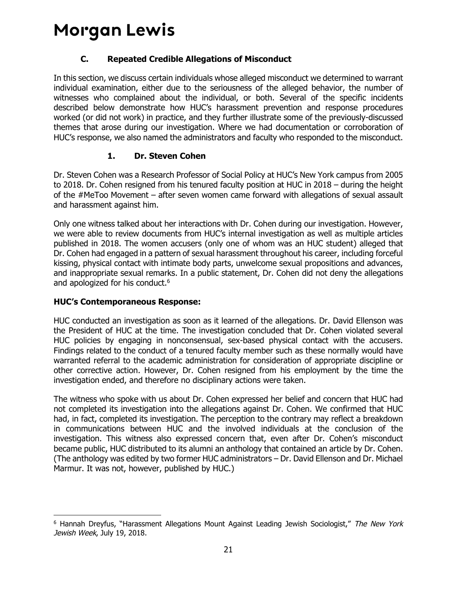### **C. Repeated Credible Allegations of Misconduct**

<span id="page-23-0"></span>In this section, we discuss certain individuals whose alleged misconduct we determined to warrant individual examination, either due to the seriousness of the alleged behavior, the number of witnesses who complained about the individual, or both. Several of the specific incidents described below demonstrate how HUC's harassment prevention and response procedures worked (or did not work) in practice, and they further illustrate some of the previously-discussed themes that arose during our investigation. Where we had documentation or corroboration of HUC's response, we also named the administrators and faculty who responded to the misconduct.

### **1. Dr. Steven Cohen**

<span id="page-23-1"></span>Dr. Steven Cohen was a Research Professor of Social Policy at HUC's New York campus from 2005 to 2018. Dr. Cohen resigned from his tenured faculty position at HUC in 2018 – during the height of the #MeToo Movement – after seven women came forward with allegations of sexual assault and harassment against him.

Only one witness talked about her interactions with Dr. Cohen during our investigation. However, we were able to review documents from HUC's internal investigation as well as multiple articles published in 2018. The women accusers (only one of whom was an HUC student) alleged that Dr. Cohen had engaged in a pattern of sexual harassment throughout his career, including forceful kissing, physical contact with intimate body parts, unwelcome sexual propositions and advances, and inappropriate sexual remarks. In a public statement, Dr. Cohen did not deny the allegations and apologized for his conduct.<sup>6</sup>

#### **HUC's Contemporaneous Response:**

HUC conducted an investigation as soon as it learned of the allegations. Dr. David Ellenson was the President of HUC at the time. The investigation concluded that Dr. Cohen violated several HUC policies by engaging in nonconsensual, sex-based physical contact with the accusers. Findings related to the conduct of a tenured faculty member such as these normally would have warranted referral to the academic administration for consideration of appropriate discipline or other corrective action. However, Dr. Cohen resigned from his employment by the time the investigation ended, and therefore no disciplinary actions were taken.

The witness who spoke with us about Dr. Cohen expressed her belief and concern that HUC had not completed its investigation into the allegations against Dr. Cohen. We confirmed that HUC had, in fact, completed its investigation. The perception to the contrary may reflect a breakdown in communications between HUC and the involved individuals at the conclusion of the investigation. This witness also expressed concern that, even after Dr. Cohen's misconduct became public, HUC distributed to its alumni an anthology that contained an article by Dr. Cohen. (The anthology was edited by two former HUC administrators – Dr. David Ellenson and Dr. Michael Marmur. It was not, however, published by HUC.)

<sup>&</sup>lt;sup>6</sup> Hannah Dreyfus, "Harassment Allegations Mount Against Leading Jewish Sociologist," The New York Jewish Week, July 19, 2018.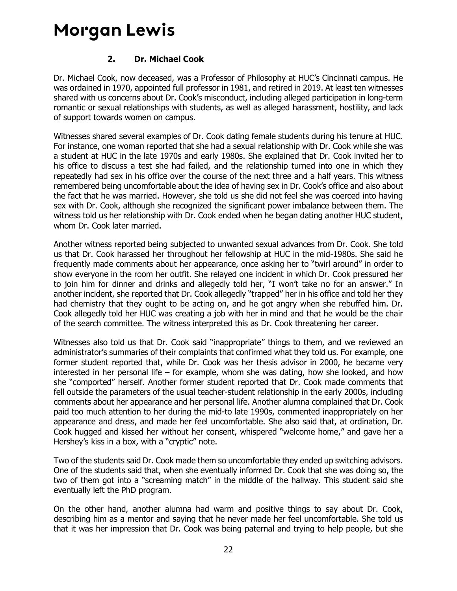#### **2. Dr. Michael Cook**

<span id="page-24-0"></span>Dr. Michael Cook, now deceased, was a Professor of Philosophy at HUC's Cincinnati campus. He was ordained in 1970, appointed full professor in 1981, and retired in 2019. At least ten witnesses shared with us concerns about Dr. Cook's misconduct, including alleged participation in long-term romantic or sexual relationships with students, as well as alleged harassment, hostility, and lack of support towards women on campus.

Witnesses shared several examples of Dr. Cook dating female students during his tenure at HUC. For instance, one woman reported that she had a sexual relationship with Dr. Cook while she was a student at HUC in the late 1970s and early 1980s. She explained that Dr. Cook invited her to his office to discuss a test she had failed, and the relationship turned into one in which they repeatedly had sex in his office over the course of the next three and a half years. This witness remembered being uncomfortable about the idea of having sex in Dr. Cook's office and also about the fact that he was married. However, she told us she did not feel she was coerced into having sex with Dr. Cook, although she recognized the significant power imbalance between them. The witness told us her relationship with Dr. Cook ended when he began dating another HUC student, whom Dr. Cook later married.

Another witness reported being subjected to unwanted sexual advances from Dr. Cook. She told us that Dr. Cook harassed her throughout her fellowship at HUC in the mid-1980s. She said he frequently made comments about her appearance, once asking her to "twirl around" in order to show everyone in the room her outfit. She relayed one incident in which Dr. Cook pressured her to join him for dinner and drinks and allegedly told her, "I won't take no for an answer." In another incident, she reported that Dr. Cook allegedly "trapped" her in his office and told her they had chemistry that they ought to be acting on, and he got angry when she rebuffed him. Dr. Cook allegedly told her HUC was creating a job with her in mind and that he would be the chair of the search committee. The witness interpreted this as Dr. Cook threatening her career.

Witnesses also told us that Dr. Cook said "inappropriate" things to them, and we reviewed an administrator's summaries of their complaints that confirmed what they told us. For example, one former student reported that, while Dr. Cook was her thesis advisor in 2000, he became very interested in her personal life – for example, whom she was dating, how she looked, and how she "comported" herself. Another former student reported that Dr. Cook made comments that fell outside the parameters of the usual teacher-student relationship in the early 2000s, including comments about her appearance and her personal life. Another alumna complained that Dr. Cook paid too much attention to her during the mid-to late 1990s, commented inappropriately on her appearance and dress, and made her feel uncomfortable. She also said that, at ordination, Dr. Cook hugged and kissed her without her consent, whispered "welcome home," and gave her a Hershey's kiss in a box, with a "cryptic" note.

Two of the students said Dr. Cook made them so uncomfortable they ended up switching advisors. One of the students said that, when she eventually informed Dr. Cook that she was doing so, the two of them got into a "screaming match" in the middle of the hallway. This student said she eventually left the PhD program.

On the other hand, another alumna had warm and positive things to say about Dr. Cook, describing him as a mentor and saying that he never made her feel uncomfortable. She told us that it was her impression that Dr. Cook was being paternal and trying to help people, but she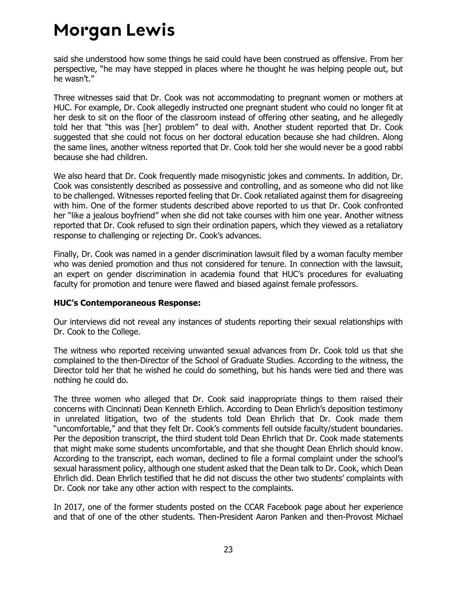said she understood how some things he said could have been construed as offensive. From her perspective, "he may have stepped in places where he thought he was helping people out, but he wasn't."

Three witnesses said that Dr. Cook was not accommodating to pregnant women or mothers at HUC. For example, Dr. Cook allegedly instructed one pregnant student who could no longer fit at her desk to sit on the floor of the classroom instead of offering other seating, and he allegedly told her that "this was [her] problem" to deal with. Another student reported that Dr. Cook suggested that she could not focus on her doctoral education because she had children. Along the same lines, another witness reported that Dr. Cook told her she would never be a good rabbi because she had children.

We also heard that Dr. Cook frequently made misogynistic jokes and comments. In addition, Dr. Cook was consistently described as possessive and controlling, and as someone who did not like to be challenged. Witnesses reported feeling that Dr. Cook retaliated against them for disagreeing with him. One of the former students described above reported to us that Dr. Cook confronted her "like a jealous boyfriend" when she did not take courses with him one year. Another witness reported that Dr. Cook refused to sign their ordination papers, which they viewed as a retaliatory response to challenging or rejecting Dr. Cook's advances.

Finally, Dr. Cook was named in a gender discrimination lawsuit filed by a woman faculty member who was denied promotion and thus not considered for tenure. In connection with the lawsuit, an expert on gender discrimination in academia found that HUC's procedures for evaluating faculty for promotion and tenure were flawed and biased against female professors.

#### **HUC's Contemporaneous Response:**

Our interviews did not reveal any instances of students reporting their sexual relationships with Dr. Cook to the College.

The witness who reported receiving unwanted sexual advances from Dr. Cook told us that she complained to the then-Director of the School of Graduate Studies. According to the witness, the Director told her that he wished he could do something, but his hands were tied and there was nothing he could do.

The three women who alleged that Dr. Cook said inappropriate things to them raised their concerns with Cincinnati Dean Kenneth Erhlich. According to Dean Ehrlich's deposition testimony in unrelated litigation, two of the students told Dean Ehrlich that Dr. Cook made them "uncomfortable," and that they felt Dr. Cook's comments fell outside faculty/student boundaries. Per the deposition transcript, the third student told Dean Ehrlich that Dr. Cook made statements that might make some students uncomfortable, and that she thought Dean Ehrlich should know. According to the transcript, each woman, declined to file a formal complaint under the school's sexual harassment policy, although one student asked that the Dean talk to Dr. Cook, which Dean Ehrlich did. Dean Ehrlich testified that he did not discuss the other two students' complaints with Dr. Cook nor take any other action with respect to the complaints.

In 2017, one of the former students posted on the CCAR Facebook page about her experience and that of one of the other students. Then-President Aaron Panken and then-Provost Michael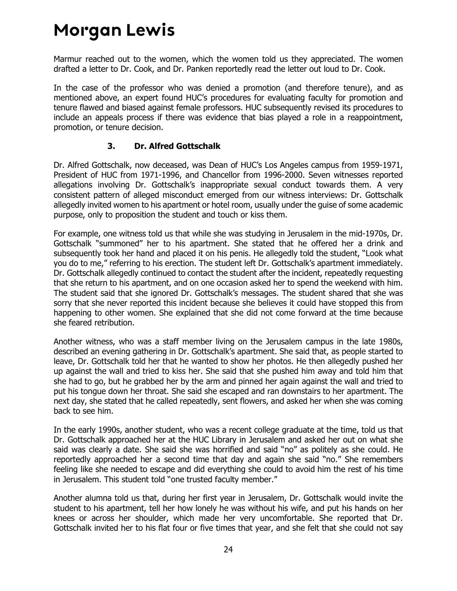Marmur reached out to the women, which the women told us they appreciated. The women drafted a letter to Dr. Cook, and Dr. Panken reportedly read the letter out loud to Dr. Cook.

In the case of the professor who was denied a promotion (and therefore tenure), and as mentioned above, an expert found HUC's procedures for evaluating faculty for promotion and tenure flawed and biased against female professors. HUC subsequently revised its procedures to include an appeals process if there was evidence that bias played a role in a reappointment, promotion, or tenure decision.

#### **3. Dr. Alfred Gottschalk**

<span id="page-26-0"></span>Dr. Alfred Gottschalk, now deceased, was Dean of HUC's Los Angeles campus from 1959-1971, President of HUC from 1971-1996, and Chancellor from 1996-2000. Seven witnesses reported allegations involving Dr. Gottschalk's inappropriate sexual conduct towards them. A very consistent pattern of alleged misconduct emerged from our witness interviews: Dr. Gottschalk allegedly invited women to his apartment or hotel room, usually under the guise of some academic purpose, only to proposition the student and touch or kiss them.

For example, one witness told us that while she was studying in Jerusalem in the mid-1970s, Dr. Gottschalk "summoned" her to his apartment. She stated that he offered her a drink and subsequently took her hand and placed it on his penis. He allegedly told the student, "Look what you do to me," referring to his erection. The student left Dr. Gottschalk's apartment immediately. Dr. Gottschalk allegedly continued to contact the student after the incident, repeatedly requesting that she return to his apartment, and on one occasion asked her to spend the weekend with him. The student said that she ignored Dr. Gottschalk's messages. The student shared that she was sorry that she never reported this incident because she believes it could have stopped this from happening to other women. She explained that she did not come forward at the time because she feared retribution.

Another witness, who was a staff member living on the Jerusalem campus in the late 1980s, described an evening gathering in Dr. Gottschalk's apartment. She said that, as people started to leave, Dr. Gottschalk told her that he wanted to show her photos. He then allegedly pushed her up against the wall and tried to kiss her. She said that she pushed him away and told him that she had to go, but he grabbed her by the arm and pinned her again against the wall and tried to put his tongue down her throat. She said she escaped and ran downstairs to her apartment. The next day, she stated that he called repeatedly, sent flowers, and asked her when she was coming back to see him.

In the early 1990s, another student, who was a recent college graduate at the time, told us that Dr. Gottschalk approached her at the HUC Library in Jerusalem and asked her out on what she said was clearly a date. She said she was horrified and said "no" as politely as she could. He reportedly approached her a second time that day and again she said "no." She remembers feeling like she needed to escape and did everything she could to avoid him the rest of his time in Jerusalem. This student told "one trusted faculty member."

Another alumna told us that, during her first year in Jerusalem, Dr. Gottschalk would invite the student to his apartment, tell her how lonely he was without his wife, and put his hands on her knees or across her shoulder, which made her very uncomfortable. She reported that Dr. Gottschalk invited her to his flat four or five times that year, and she felt that she could not say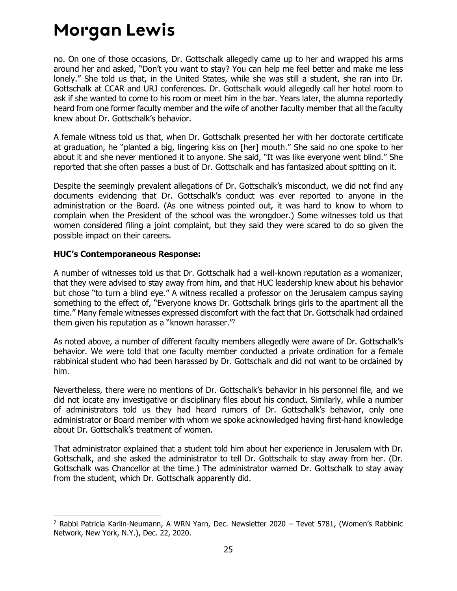no. On one of those occasions, Dr. Gottschalk allegedly came up to her and wrapped his arms around her and asked, "Don't you want to stay? You can help me feel better and make me less lonely." She told us that, in the United States, while she was still a student, she ran into Dr. Gottschalk at CCAR and URJ conferences. Dr. Gottschalk would allegedly call her hotel room to ask if she wanted to come to his room or meet him in the bar. Years later, the alumna reportedly heard from one former faculty member and the wife of another faculty member that all the faculty knew about Dr. Gottschalk's behavior.

A female witness told us that, when Dr. Gottschalk presented her with her doctorate certificate at graduation, he "planted a big, lingering kiss on [her] mouth." She said no one spoke to her about it and she never mentioned it to anyone. She said, "It was like everyone went blind." She reported that she often passes a bust of Dr. Gottschalk and has fantasized about spitting on it.

Despite the seemingly prevalent allegations of Dr. Gottschalk's misconduct, we did not find any documents evidencing that Dr. Gottschalk's conduct was ever reported to anyone in the administration or the Board. (As one witness pointed out, it was hard to know to whom to complain when the President of the school was the wrongdoer.) Some witnesses told us that women considered filing a joint complaint, but they said they were scared to do so given the possible impact on their careers.

#### **HUC's Contemporaneous Response:**

A number of witnesses told us that Dr. Gottschalk had a well-known reputation as a womanizer, that they were advised to stay away from him, and that HUC leadership knew about his behavior but chose "to turn a blind eye." A witness recalled a professor on the Jerusalem campus saying something to the effect of, "Everyone knows Dr. Gottschalk brings girls to the apartment all the time." Many female witnesses expressed discomfort with the fact that Dr. Gottschalk had ordained them given his reputation as a "known harasser." $\frac{1}{2}$ 

As noted above, a number of different faculty members allegedly were aware of Dr. Gottschalk's behavior. We were told that one faculty member conducted a private ordination for a female rabbinical student who had been harassed by Dr. Gottschalk and did not want to be ordained by him.

Nevertheless, there were no mentions of Dr. Gottschalk's behavior in his personnel file, and we did not locate any investigative or disciplinary files about his conduct. Similarly, while a number of administrators told us they had heard rumors of Dr. Gottschalk's behavior, only one administrator or Board member with whom we spoke acknowledged having first-hand knowledge about Dr. Gottschalk's treatment of women.

That administrator explained that a student told him about her experience in Jerusalem with Dr. Gottschalk, and she asked the administrator to tell Dr. Gottschalk to stay away from her. (Dr. Gottschalk was Chancellor at the time.) The administrator warned Dr. Gottschalk to stay away from the student, which Dr. Gottschalk apparently did.

<sup>7</sup> Rabbi Patricia Karlin-Neumann, A WRN Yarn, Dec. Newsletter 2020 – Tevet 5781, (Women's Rabbinic Network, New York, N.Y.), Dec. 22, 2020.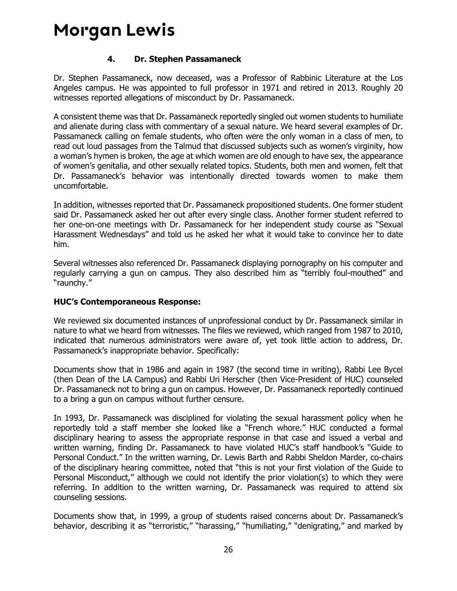#### **4. Dr. Stephen Passamaneck**

<span id="page-28-0"></span>Dr. Stephen Passamaneck, now deceased, was a Professor of Rabbinic Literature at the Los Angeles campus. He was appointed to full professor in 1971 and retired in 2013. Roughly 20 witnesses reported allegations of misconduct by Dr. Passamaneck.

A consistent theme was that Dr. Passamaneck reportedly singled out women students to humiliate and alienate during class with commentary of a sexual nature. We heard several examples of Dr. Passamaneck calling on female students, who often were the only woman in a class of men, to read out loud passages from the Talmud that discussed subjects such as women's virginity, how a woman's hymen is broken, the age at which women are old enough to have sex, the appearance of women's genitalia, and other sexually related topics. Students, both men and women, felt that Dr. Passamaneck's behavior was intentionally directed towards women to make them uncomfortable.

In addition, witnesses reported that Dr. Passamaneck propositioned students. One former student said Dr. Passamaneck asked her out after every single class. Another former student referred to her one-on-one meetings with Dr. Passamaneck for her independent study course as "Sexual Harassment Wednesdays" and told us he asked her what it would take to convince her to date him.

Several witnesses also referenced Dr. Passamaneck displaying pornography on his computer and regularly carrying a gun on campus. They also described him as "terribly foul-mouthed" and "raunchy."

#### **HUC's Contemporaneous Response:**

We reviewed six documented instances of unprofessional conduct by Dr. Passamaneck similar in nature to what we heard from witnesses. The files we reviewed, which ranged from 1987 to 2010, indicated that numerous administrators were aware of, yet took little action to address, Dr. Passamaneck's inappropriate behavior. Specifically:

Documents show that in 1986 and again in 1987 (the second time in writing), Rabbi Lee Bycel (then Dean of the LA Campus) and Rabbi Uri Herscher (then Vice-President of HUC) counseled Dr. Passamaneck not to bring a gun on campus. However, Dr. Passamaneck reportedly continued to a bring a gun on campus without further censure.

In 1993, Dr. Passamaneck was disciplined for violating the sexual harassment policy when he reportedly told a staff member she looked like a "French whore." HUC conducted a formal disciplinary hearing to assess the appropriate response in that case and issued a verbal and written warning, finding Dr. Passamaneck to have violated HUC's staff handbook's "Guide to Personal Conduct." In the written warning, Dr. Lewis Barth and Rabbi Sheldon Marder, co-chairs of the disciplinary hearing committee, noted that "this is not your first violation of the Guide to Personal Misconduct," although we could not identify the prior violation(s) to which they were referring. In addition to the written warning, Dr. Passamaneck was required to attend six counseling sessions.

Documents show that, in 1999, a group of students raised concerns about Dr. Passamaneck's behavior, describing it as "terroristic," "harassing," "humiliating," "denigrating," and marked by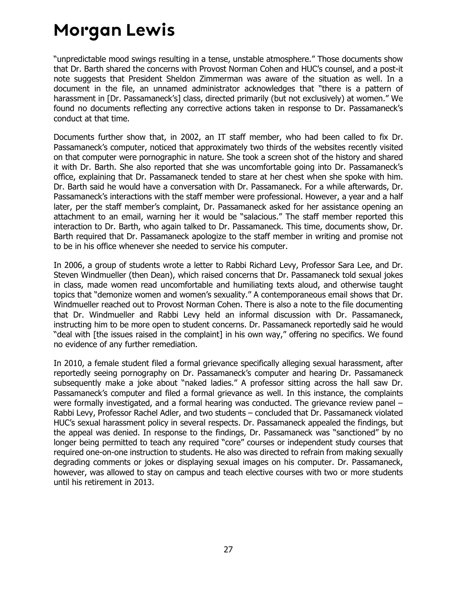"unpredictable mood swings resulting in a tense, unstable atmosphere." Those documents show that Dr. Barth shared the concerns with Provost Norman Cohen and HUC's counsel, and a post-it note suggests that President Sheldon Zimmerman was aware of the situation as well. In a document in the file, an unnamed administrator acknowledges that "there is a pattern of harassment in [Dr. Passamaneck's] class, directed primarily (but not exclusively) at women." We found no documents reflecting any corrective actions taken in response to Dr. Passamaneck's conduct at that time.

Documents further show that, in 2002, an IT staff member, who had been called to fix Dr. Passamaneck's computer, noticed that approximately two thirds of the websites recently visited on that computer were pornographic in nature. She took a screen shot of the history and shared it with Dr. Barth. She also reported that she was uncomfortable going into Dr. Passamaneck's office, explaining that Dr. Passamaneck tended to stare at her chest when she spoke with him. Dr. Barth said he would have a conversation with Dr. Passamaneck. For a while afterwards, Dr. Passamaneck's interactions with the staff member were professional. However, a year and a half later, per the staff member's complaint, Dr. Passamaneck asked for her assistance opening an attachment to an email, warning her it would be "salacious." The staff member reported this interaction to Dr. Barth, who again talked to Dr. Passamaneck. This time, documents show, Dr. Barth required that Dr. Passamaneck apologize to the staff member in writing and promise not to be in his office whenever she needed to service his computer.

In 2006, a group of students wrote a letter to Rabbi Richard Levy, Professor Sara Lee, and Dr. Steven Windmueller (then Dean), which raised concerns that Dr. Passamaneck told sexual jokes in class, made women read uncomfortable and humiliating texts aloud, and otherwise taught topics that "demonize women and women's sexuality." A contemporaneous email shows that Dr. Windmueller reached out to Provost Norman Cohen. There is also a note to the file documenting that Dr. Windmueller and Rabbi Levy held an informal discussion with Dr. Passamaneck, instructing him to be more open to student concerns. Dr. Passamaneck reportedly said he would "deal with [the issues raised in the complaint] in his own way," offering no specifics. We found no evidence of any further remediation.

In 2010, a female student filed a formal grievance specifically alleging sexual harassment, after reportedly seeing pornography on Dr. Passamaneck's computer and hearing Dr. Passamaneck subsequently make a joke about "naked ladies." A professor sitting across the hall saw Dr. Passamaneck's computer and filed a formal grievance as well. In this instance, the complaints were formally investigated, and a formal hearing was conducted. The grievance review panel – Rabbi Levy, Professor Rachel Adler, and two students – concluded that Dr. Passamaneck violated HUC's sexual harassment policy in several respects. Dr. Passamaneck appealed the findings, but the appeal was denied. In response to the findings, Dr. Passamaneck was "sanctioned" by no longer being permitted to teach any required "core" courses or independent study courses that required one-on-one instruction to students. He also was directed to refrain from making sexually degrading comments or jokes or displaying sexual images on his computer. Dr. Passamaneck, however, was allowed to stay on campus and teach elective courses with two or more students until his retirement in 2013.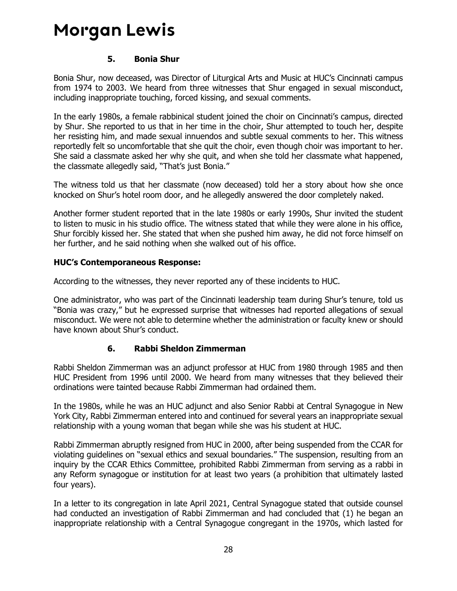#### **5. Bonia Shur**

<span id="page-30-0"></span>Bonia Shur, now deceased, was Director of Liturgical Arts and Music at HUC's Cincinnati campus from 1974 to 2003. We heard from three witnesses that Shur engaged in sexual misconduct, including inappropriate touching, forced kissing, and sexual comments.

In the early 1980s, a female rabbinical student joined the choir on Cincinnati's campus, directed by Shur. She reported to us that in her time in the choir, Shur attempted to touch her, despite her resisting him, and made sexual innuendos and subtle sexual comments to her. This witness reportedly felt so uncomfortable that she quit the choir, even though choir was important to her. She said a classmate asked her why she quit, and when she told her classmate what happened, the classmate allegedly said, "That's just Bonia."

The witness told us that her classmate (now deceased) told her a story about how she once knocked on Shur's hotel room door, and he allegedly answered the door completely naked.

Another former student reported that in the late 1980s or early 1990s, Shur invited the student to listen to music in his studio office. The witness stated that while they were alone in his office, Shur forcibly kissed her. She stated that when she pushed him away, he did not force himself on her further, and he said nothing when she walked out of his office.

#### **HUC's Contemporaneous Response:**

According to the witnesses, they never reported any of these incidents to HUC.

One administrator, who was part of the Cincinnati leadership team during Shur's tenure, told us "Bonia was crazy," but he expressed surprise that witnesses had reported allegations of sexual misconduct. We were not able to determine whether the administration or faculty knew or should have known about Shur's conduct.

#### **6. Rabbi Sheldon Zimmerman**

<span id="page-30-1"></span>Rabbi Sheldon Zimmerman was an adjunct professor at HUC from 1980 through 1985 and then HUC President from 1996 until 2000. We heard from many witnesses that they believed their ordinations were tainted because Rabbi Zimmerman had ordained them.

In the 1980s, while he was an HUC adjunct and also Senior Rabbi at Central Synagogue in New York City, Rabbi Zimmerman entered into and continued for several years an inappropriate sexual relationship with a young woman that began while she was his student at HUC.

Rabbi Zimmerman abruptly resigned from HUC in 2000, after being suspended from the CCAR for violating guidelines on "sexual ethics and sexual boundaries." The suspension, resulting from an inquiry by the CCAR Ethics Committee, prohibited Rabbi Zimmerman from serving as a rabbi in any Reform synagogue or institution for at least two years (a prohibition that ultimately lasted four years).

In a letter to its congregation in late April 2021, Central Synagogue stated that outside counsel had conducted an investigation of Rabbi Zimmerman and had concluded that (1) he began an inappropriate relationship with a Central Synagogue congregant in the 1970s, which lasted for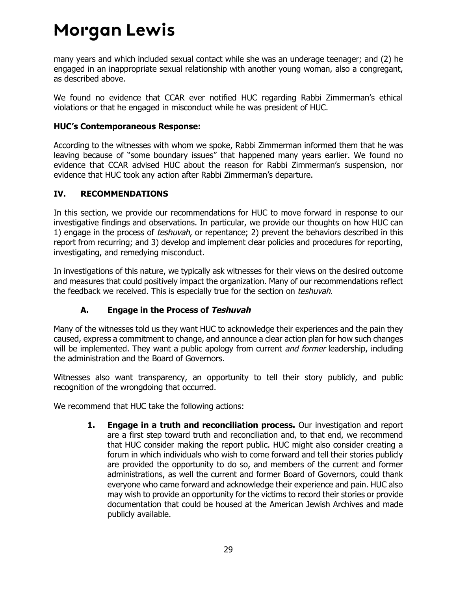many years and which included sexual contact while she was an underage teenager; and (2) he engaged in an inappropriate sexual relationship with another young woman, also a congregant, as described above.

We found no evidence that CCAR ever notified HUC regarding Rabbi Zimmerman's ethical violations or that he engaged in misconduct while he was president of HUC.

#### **HUC's Contemporaneous Response:**

According to the witnesses with whom we spoke, Rabbi Zimmerman informed them that he was leaving because of "some boundary issues" that happened many years earlier. We found no evidence that CCAR advised HUC about the reason for Rabbi Zimmerman's suspension, nor evidence that HUC took any action after Rabbi Zimmerman's departure.

#### <span id="page-31-0"></span>**IV. RECOMMENDATIONS**

In this section, we provide our recommendations for HUC to move forward in response to our investigative findings and observations. In particular, we provide our thoughts on how HUC can 1) engage in the process of *teshuvah*, or repentance; 2) prevent the behaviors described in this report from recurring; and 3) develop and implement clear policies and procedures for reporting, investigating, and remedying misconduct.

In investigations of this nature, we typically ask witnesses for their views on the desired outcome and measures that could positively impact the organization. Many of our recommendations reflect the feedback we received. This is especially true for the section on teshuvah.

### **A. Engage in the Process of Teshuvah**

<span id="page-31-1"></span>Many of the witnesses told us they want HUC to acknowledge their experiences and the pain they caused, express a commitment to change, and announce a clear action plan for how such changes will be implemented. They want a public apology from current *and former* leadership, including the administration and the Board of Governors.

Witnesses also want transparency, an opportunity to tell their story publicly, and public recognition of the wrongdoing that occurred.

We recommend that HUC take the following actions:

**1. Engage in a truth and reconciliation process.** Our investigation and report are a first step toward truth and reconciliation and, to that end, we recommend that HUC consider making the report public. HUC might also consider creating a forum in which individuals who wish to come forward and tell their stories publicly are provided the opportunity to do so, and members of the current and former administrations, as well the current and former Board of Governors, could thank everyone who came forward and acknowledge their experience and pain. HUC also may wish to provide an opportunity for the victims to record their stories or provide documentation that could be housed at the American Jewish Archives and made publicly available.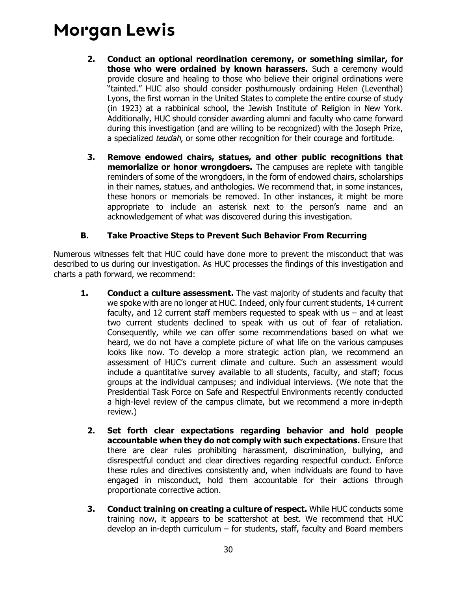- **2. Conduct an optional reordination ceremony, or something similar, for those who were ordained by known harassers.** Such a ceremony would provide closure and healing to those who believe their original ordinations were "tainted." HUC also should consider posthumously ordaining Helen (Leventhal) Lyons, the first woman in the United States to complete the entire course of study (in 1923) at a rabbinical school, the Jewish Institute of Religion in New York. Additionally, HUC should consider awarding alumni and faculty who came forward during this investigation (and are willing to be recognized) with the Joseph Prize, a specialized teudah, or some other recognition for their courage and fortitude.
- **3. Remove endowed chairs, statues, and other public recognitions that memorialize or honor wrongdoers.** The campuses are replete with tangible reminders of some of the wrongdoers, in the form of endowed chairs, scholarships in their names, statues, and anthologies. We recommend that, in some instances, these honors or memorials be removed. In other instances, it might be more appropriate to include an asterisk next to the person's name and an acknowledgement of what was discovered during this investigation.

#### **B. Take Proactive Steps to Prevent Such Behavior From Recurring**

<span id="page-32-0"></span>Numerous witnesses felt that HUC could have done more to prevent the misconduct that was described to us during our investigation. As HUC processes the findings of this investigation and charts a path forward, we recommend:

- **1. Conduct a culture assessment.** The vast majority of students and faculty that we spoke with are no longer at HUC. Indeed, only four current students, 14 current faculty, and 12 current staff members requested to speak with us – and at least two current students declined to speak with us out of fear of retaliation. Consequently, while we can offer some recommendations based on what we heard, we do not have a complete picture of what life on the various campuses looks like now. To develop a more strategic action plan, we recommend an assessment of HUC's current climate and culture. Such an assessment would include a quantitative survey available to all students, faculty, and staff; focus groups at the individual campuses; and individual interviews. (We note that the Presidential Task Force on Safe and Respectful Environments recently conducted a high-level review of the campus climate, but we recommend a more in-depth review.)
	- **2. Set forth clear expectations regarding behavior and hold people accountable when they do not comply with such expectations.** Ensure that there are clear rules prohibiting harassment, discrimination, bullying, and disrespectful conduct and clear directives regarding respectful conduct. Enforce these rules and directives consistently and, when individuals are found to have engaged in misconduct, hold them accountable for their actions through proportionate corrective action.
	- **3. Conduct training on creating a culture of respect.** While HUC conducts some training now, it appears to be scattershot at best. We recommend that HUC develop an in-depth curriculum – for students, staff, faculty and Board members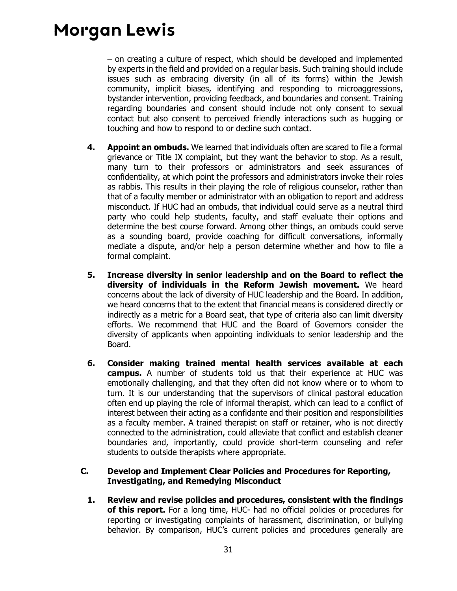– on creating a culture of respect, which should be developed and implemented by experts in the field and provided on a regular basis. Such training should include issues such as embracing diversity (in all of its forms) within the Jewish community, implicit biases, identifying and responding to microaggressions, bystander intervention, providing feedback, and boundaries and consent. Training regarding boundaries and consent should include not only consent to sexual contact but also consent to perceived friendly interactions such as hugging or touching and how to respond to or decline such contact.

- **4. Appoint an ombuds.** We learned that individuals often are scared to file a formal grievance or Title IX complaint, but they want the behavior to stop. As a result, many turn to their professors or administrators and seek assurances of confidentiality, at which point the professors and administrators invoke their roles as rabbis. This results in their playing the role of religious counselor, rather than that of a faculty member or administrator with an obligation to report and address misconduct. If HUC had an ombuds, that individual could serve as a neutral third party who could help students, faculty, and staff evaluate their options and determine the best course forward. Among other things, an ombuds could serve as a sounding board, provide coaching for difficult conversations, informally mediate a dispute, and/or help a person determine whether and how to file a formal complaint.
- **5. Increase diversity in senior leadership and on the Board to reflect the diversity of individuals in the Reform Jewish movement.** We heard concerns about the lack of diversity of HUC leadership and the Board. In addition, we heard concerns that to the extent that financial means is considered directly or indirectly as a metric for a Board seat, that type of criteria also can limit diversity efforts. We recommend that HUC and the Board of Governors consider the diversity of applicants when appointing individuals to senior leadership and the Board.
- **6. Consider making trained mental health services available at each campus.** A number of students told us that their experience at HUC was emotionally challenging, and that they often did not know where or to whom to turn. It is our understanding that the supervisors of clinical pastoral education often end up playing the role of informal therapist, which can lead to a conflict of interest between their acting as a confidante and their position and responsibilities as a faculty member. A trained therapist on staff or retainer, who is not directly connected to the administration, could alleviate that conflict and establish cleaner boundaries and, importantly, could provide short-term counseling and refer students to outside therapists where appropriate.

#### <span id="page-33-0"></span>**C. Develop and Implement Clear Policies and Procedures for Reporting, Investigating, and Remedying Misconduct**

**1. Review and revise policies and procedures, consistent with the findings of this report.** For a long time, HUC- had no official policies or procedures for reporting or investigating complaints of harassment, discrimination, or bullying behavior. By comparison, HUC's current policies and procedures generally are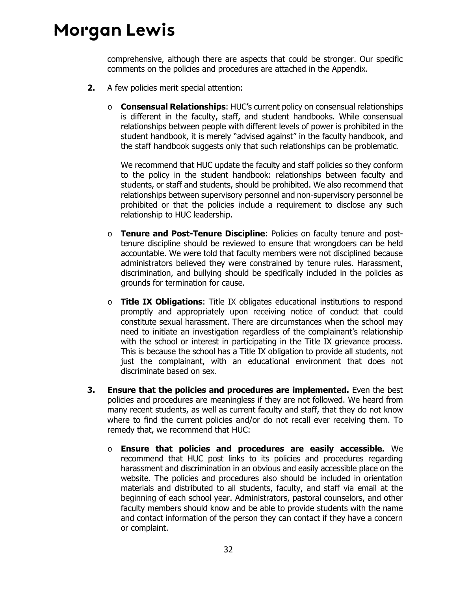comprehensive, although there are aspects that could be stronger. Our specific comments on the policies and procedures are attached in the Appendix.

- **2.** A few policies merit special attention:
	- o **Consensual Relationships**: HUC's current policy on consensual relationships is different in the faculty, staff, and student handbooks. While consensual relationships between people with different levels of power is prohibited in the student handbook, it is merely "advised against" in the faculty handbook, and the staff handbook suggests only that such relationships can be problematic.

We recommend that HUC update the faculty and staff policies so they conform to the policy in the student handbook: relationships between faculty and students, or staff and students, should be prohibited. We also recommend that relationships between supervisory personnel and non-supervisory personnel be prohibited or that the policies include a requirement to disclose any such relationship to HUC leadership.

- o **Tenure and Post-Tenure Discipline**: Policies on faculty tenure and posttenure discipline should be reviewed to ensure that wrongdoers can be held accountable. We were told that faculty members were not disciplined because administrators believed they were constrained by tenure rules. Harassment, discrimination, and bullying should be specifically included in the policies as grounds for termination for cause.
- o **Title IX Obligations**: Title IX obligates educational institutions to respond promptly and appropriately upon receiving notice of conduct that could constitute sexual harassment. There are circumstances when the school may need to initiate an investigation regardless of the complainant's relationship with the school or interest in participating in the Title IX grievance process. This is because the school has a Title IX obligation to provide all students, not just the complainant, with an educational environment that does not discriminate based on sex.
- **3. Ensure that the policies and procedures are implemented.** Even the best policies and procedures are meaningless if they are not followed. We heard from many recent students, as well as current faculty and staff, that they do not know where to find the current policies and/or do not recall ever receiving them. To remedy that, we recommend that HUC:
	- o **Ensure that policies and procedures are easily accessible.** We recommend that HUC post links to its policies and procedures regarding harassment and discrimination in an obvious and easily accessible place on the website. The policies and procedures also should be included in orientation materials and distributed to all students, faculty, and staff via email at the beginning of each school year. Administrators, pastoral counselors, and other faculty members should know and be able to provide students with the name and contact information of the person they can contact if they have a concern or complaint.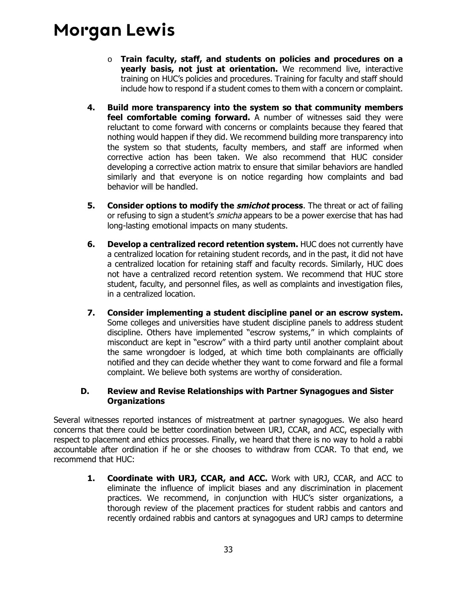- o **Train faculty, staff, and students on policies and procedures on a yearly basis, not just at orientation.** We recommend live, interactive training on HUC's policies and procedures. Training for faculty and staff should include how to respond if a student comes to them with a concern or complaint.
- **4. Build more transparency into the system so that community members feel comfortable coming forward.** A number of witnesses said they were reluctant to come forward with concerns or complaints because they feared that nothing would happen if they did. We recommend building more transparency into the system so that students, faculty members, and staff are informed when corrective action has been taken. We also recommend that HUC consider developing a corrective action matrix to ensure that similar behaviors are handled similarly and that everyone is on notice regarding how complaints and bad behavior will be handled.
- **5. Consider options to modify the** *smichot* **process**. The threat or act of failing or refusing to sign a student's *smicha* appears to be a power exercise that has had long-lasting emotional impacts on many students.
- **6. Develop a centralized record retention system.** HUC does not currently have a centralized location for retaining student records, and in the past, it did not have a centralized location for retaining staff and faculty records. Similarly, HUC does not have a centralized record retention system. We recommend that HUC store student, faculty, and personnel files, as well as complaints and investigation files, in a centralized location.
- **7. Consider implementing a student discipline panel or an escrow system.** Some colleges and universities have student discipline panels to address student discipline. Others have implemented "escrow systems," in which complaints of misconduct are kept in "escrow" with a third party until another complaint about the same wrongdoer is lodged, at which time both complainants are officially notified and they can decide whether they want to come forward and file a formal complaint. We believe both systems are worthy of consideration.

#### <span id="page-35-0"></span>**D. Review and Revise Relationships with Partner Synagogues and Sister Organizations**

Several witnesses reported instances of mistreatment at partner synagogues. We also heard concerns that there could be better coordination between URJ, CCAR, and ACC, especially with respect to placement and ethics processes. Finally, we heard that there is no way to hold a rabbi accountable after ordination if he or she chooses to withdraw from CCAR. To that end, we recommend that HUC:

**1. Coordinate with URJ, CCAR, and ACC.** Work with URJ, CCAR, and ACC to eliminate the influence of implicit biases and any discrimination in placement practices. We recommend, in conjunction with HUC's sister organizations, a thorough review of the placement practices for student rabbis and cantors and recently ordained rabbis and cantors at synagogues and URJ camps to determine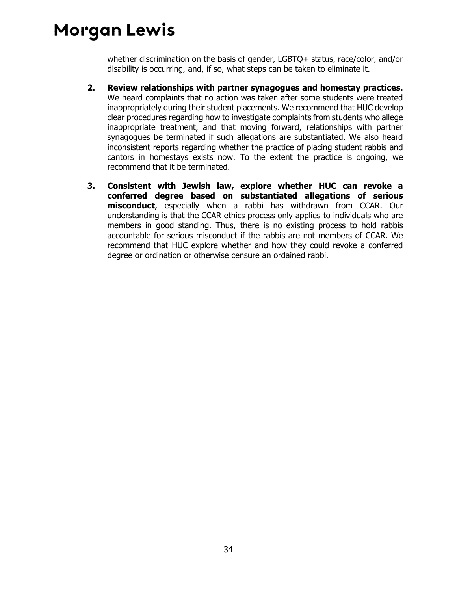whether discrimination on the basis of gender, LGBTQ+ status, race/color, and/or disability is occurring, and, if so, what steps can be taken to eliminate it.

- **2. Review relationships with partner synagogues and homestay practices.**  We heard complaints that no action was taken after some students were treated inappropriately during their student placements. We recommend that HUC develop clear procedures regarding how to investigate complaints from students who allege inappropriate treatment, and that moving forward, relationships with partner synagogues be terminated if such allegations are substantiated. We also heard inconsistent reports regarding whether the practice of placing student rabbis and cantors in homestays exists now. To the extent the practice is ongoing, we recommend that it be terminated.
- **3. Consistent with Jewish law, explore whether HUC can revoke a conferred degree based on substantiated allegations of serious misconduct**, especially when a rabbi has withdrawn from CCAR. Our understanding is that the CCAR ethics process only applies to individuals who are members in good standing. Thus, there is no existing process to hold rabbis accountable for serious misconduct if the rabbis are not members of CCAR. We recommend that HUC explore whether and how they could revoke a conferred degree or ordination or otherwise censure an ordained rabbi.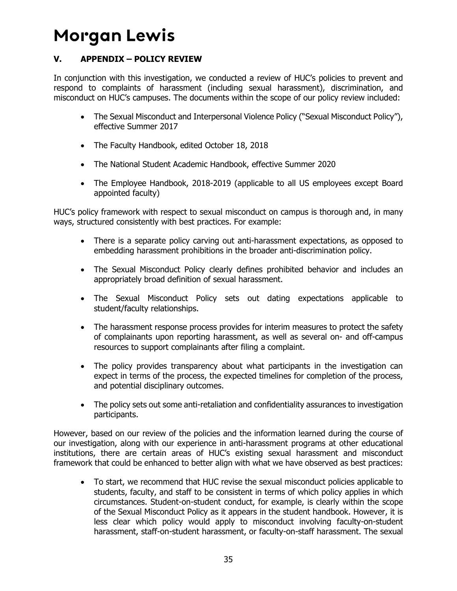### <span id="page-37-0"></span>**V. APPENDIX – POLICY REVIEW**

In conjunction with this investigation, we conducted a review of HUC's policies to prevent and respond to complaints of harassment (including sexual harassment), discrimination, and misconduct on HUC's campuses. The documents within the scope of our policy review included:

- The Sexual Misconduct and Interpersonal Violence Policy ("Sexual Misconduct Policy"), effective Summer 2017
- The Faculty Handbook, edited October 18, 2018
- The National Student Academic Handbook, effective Summer 2020
- The Employee Handbook, 2018-2019 (applicable to all US employees except Board appointed faculty)

HUC's policy framework with respect to sexual misconduct on campus is thorough and, in many ways, structured consistently with best practices. For example:

- There is a separate policy carving out anti-harassment expectations, as opposed to embedding harassment prohibitions in the broader anti-discrimination policy.
- The Sexual Misconduct Policy clearly defines prohibited behavior and includes an appropriately broad definition of sexual harassment.
- The Sexual Misconduct Policy sets out dating expectations applicable to student/faculty relationships.
- The harassment response process provides for interim measures to protect the safety of complainants upon reporting harassment, as well as several on- and off-campus resources to support complainants after filing a complaint.
- The policy provides transparency about what participants in the investigation can expect in terms of the process, the expected timelines for completion of the process, and potential disciplinary outcomes.
- The policy sets out some anti-retaliation and confidentiality assurances to investigation participants.

However, based on our review of the policies and the information learned during the course of our investigation, along with our experience in anti-harassment programs at other educational institutions, there are certain areas of HUC's existing sexual harassment and misconduct framework that could be enhanced to better align with what we have observed as best practices:

 To start, we recommend that HUC revise the sexual misconduct policies applicable to students, faculty, and staff to be consistent in terms of which policy applies in which circumstances. Student-on-student conduct, for example, is clearly within the scope of the Sexual Misconduct Policy as it appears in the student handbook. However, it is less clear which policy would apply to misconduct involving faculty-on-student harassment, staff-on-student harassment, or faculty-on-staff harassment. The sexual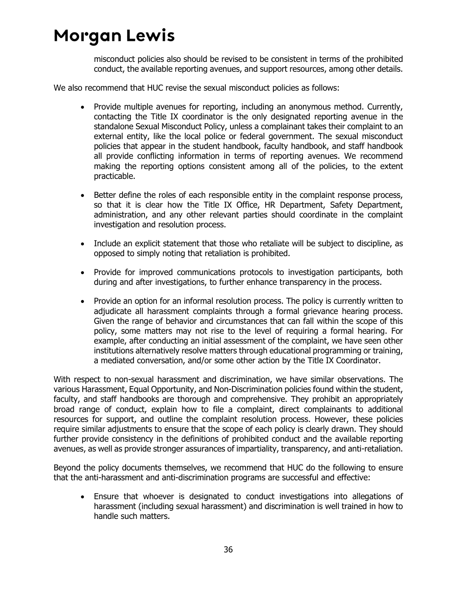misconduct policies also should be revised to be consistent in terms of the prohibited conduct, the available reporting avenues, and support resources, among other details.

We also recommend that HUC revise the sexual misconduct policies as follows:

- Provide multiple avenues for reporting, including an anonymous method. Currently, contacting the Title IX coordinator is the only designated reporting avenue in the standalone Sexual Misconduct Policy, unless a complainant takes their complaint to an external entity, like the local police or federal government. The sexual misconduct policies that appear in the student handbook, faculty handbook, and staff handbook all provide conflicting information in terms of reporting avenues. We recommend making the reporting options consistent among all of the policies, to the extent practicable.
- Better define the roles of each responsible entity in the complaint response process, so that it is clear how the Title IX Office, HR Department, Safety Department, administration, and any other relevant parties should coordinate in the complaint investigation and resolution process.
- Include an explicit statement that those who retaliate will be subject to discipline, as opposed to simply noting that retaliation is prohibited.
- Provide for improved communications protocols to investigation participants, both during and after investigations, to further enhance transparency in the process.
- Provide an option for an informal resolution process. The policy is currently written to adjudicate all harassment complaints through a formal grievance hearing process. Given the range of behavior and circumstances that can fall within the scope of this policy, some matters may not rise to the level of requiring a formal hearing. For example, after conducting an initial assessment of the complaint, we have seen other institutions alternatively resolve matters through educational programming or training, a mediated conversation, and/or some other action by the Title IX Coordinator.

With respect to non-sexual harassment and discrimination, we have similar observations. The various Harassment, Equal Opportunity, and Non-Discrimination policies found within the student, faculty, and staff handbooks are thorough and comprehensive. They prohibit an appropriately broad range of conduct, explain how to file a complaint, direct complainants to additional resources for support, and outline the complaint resolution process. However, these policies require similar adjustments to ensure that the scope of each policy is clearly drawn. They should further provide consistency in the definitions of prohibited conduct and the available reporting avenues, as well as provide stronger assurances of impartiality, transparency, and anti-retaliation.

Beyond the policy documents themselves, we recommend that HUC do the following to ensure that the anti-harassment and anti-discrimination programs are successful and effective:

 Ensure that whoever is designated to conduct investigations into allegations of harassment (including sexual harassment) and discrimination is well trained in how to handle such matters.